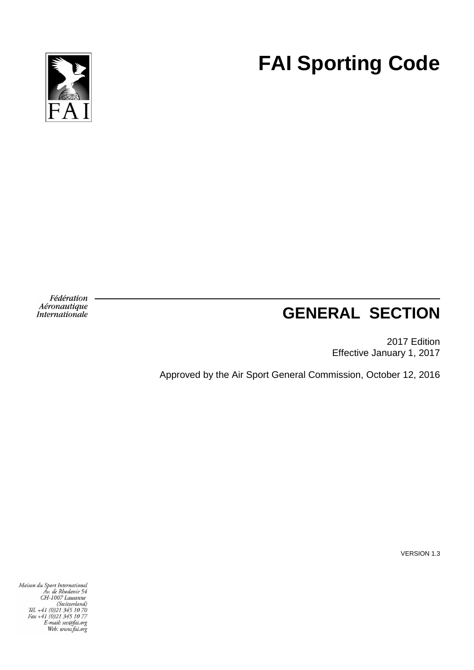

# **FAI Sporting Code**

Fédération Aéronautique *Internationale* 

# **GENERAL SECTION**

2017 Edition Effective January 1, 2017

Approved by the Air Sport General Commission, October 12, 2016

VERSION 1.3

Maison du Sport International<br>Av. de Rhodanie 54<br>CH-1007 Lausanne<br>(Switzerland)<br>Tél. +41 (0)21 345 10 70<br>Fax +41 (0)21 345 10 77<br>E-mail: sec@fai.org<br>Web: www.fai.org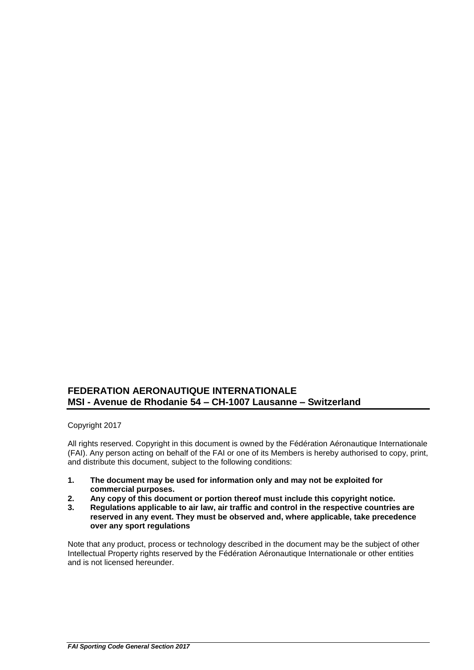### **FEDERATION AERONAUTIQUE INTERNATIONALE MSI - Avenue de Rhodanie 54 – CH-1007 Lausanne – Switzerland**

Copyright 2017

All rights reserved. Copyright in this document is owned by the Fédération Aéronautique Internationale (FAI). Any person acting on behalf of the FAI or one of its Members is hereby authorised to copy, print, and distribute this document, subject to the following conditions:

- **1. The document may be used for information only and may not be exploited for commercial purposes.**
- **2. Any copy of this document or portion thereof must include this copyright notice.**
- **3. Regulations applicable to air law, air traffic and control in the respective countries are reserved in any event. They must be observed and, where applicable, take precedence over any sport regulations**

Note that any product, process or technology described in the document may be the subject of other Intellectual Property rights reserved by the Fédération Aéronautique Internationale or other entities and is not licensed hereunder.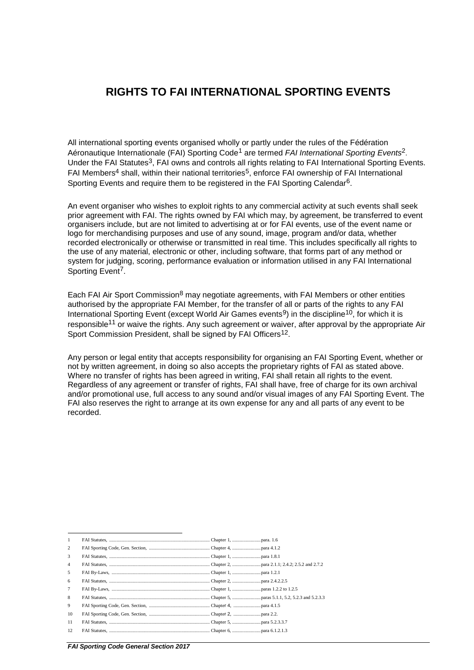### **RIGHTS TO FAI INTERNATIONAL SPORTING EVENTS**

All international sporting events organised wholly or partly under the rules of the Fédération Aéronautique Internationale (FAI) Sporting Code1 are termed *FAI International Sporting Events*2. Under the FAI Statutes<sup>3</sup>, FAI owns and controls all rights relating to FAI International Sporting Events. FAI Members<sup>4</sup> shall, within their national territories<sup>5</sup>, enforce FAI ownership of FAI International Sporting Events and require them to be registered in the FAI Sporting Calendar<sup>6</sup>.

An event organiser who wishes to exploit rights to any commercial activity at such events shall seek prior agreement with FAI. The rights owned by FAI which may, by agreement, be transferred to event organisers include, but are not limited to advertising at or for FAI events, use of the event name or logo for merchandising purposes and use of any sound, image, program and/or data, whether recorded electronically or otherwise or transmitted in real time. This includes specifically all rights to the use of any material, electronic or other, including software, that forms part of any method or system for judging, scoring, performance evaluation or information utilised in any FAI International Sporting Event<sup>7</sup>.

Each FAI Air Sport Commission<sup>8</sup> may negotiate agreements, with FAI Members or other entities authorised by the appropriate FAI Member, for the transfer of all or parts of the rights to any FAI International Sporting Event (except World Air Games events<sup>9</sup>) in the discipline<sup>10</sup>, for which it is responsible<sup>11</sup> or waive the rights. Any such agreement or waiver, after approval by the appropriate Air Sport Commission President, shall be signed by FAI Officers<sup>12</sup>.

Any person or legal entity that accepts responsibility for organising an FAI Sporting Event, whether or not by written agreement, in doing so also accepts the proprietary rights of FAI as stated above. Where no transfer of rights has been agreed in writing, FAI shall retain all rights to the event. Regardless of any agreement or transfer of rights, FAI shall have, free of charge for its own archival and/or promotional use, full access to any sound and/or visual images of any FAI Sporting Event. The FAI also reserves the right to arrange at its own expense for any and all parts of any event to be recorded.

| -1              |  |
|-----------------|--|
| 2               |  |
| 3               |  |
| $\overline{4}$  |  |
| 5               |  |
| 6               |  |
| $7\phantom{.0}$ |  |
| 8               |  |
| 9               |  |
| 10              |  |
| -11             |  |
| 12              |  |
|                 |  |

*FAI Sporting Code General Section 2017*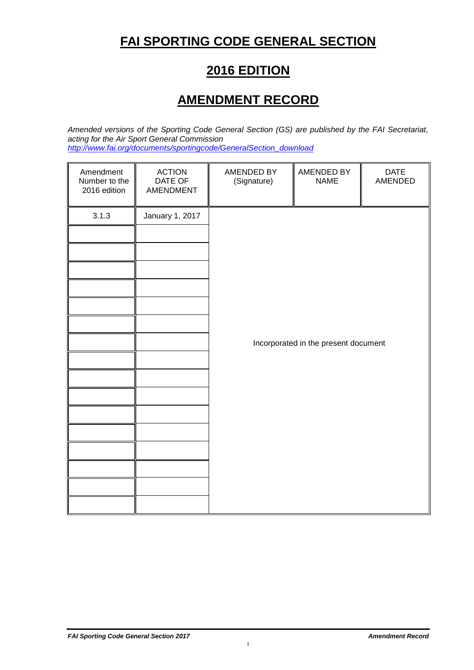# **FAI SPORTING CODE GENERAL SECTION**

### **2016 EDITION**

### **AMENDMENT RECORD**

*Amended versions of the Sporting Code General Section (GS) are published by the FAI Secretariat, acting for the Air Sport General Commission http://www.fai.org/documents/sportingcode/GeneralSection\_download*

| Amendment<br>Number to the<br>2016 edition | <b>ACTION</b><br>DATE OF<br>AMENDMENT | AMENDED BY<br>(Signature) | AMENDED BY<br><b>NAME</b>            | <b>DATE</b><br>AMENDED |
|--------------------------------------------|---------------------------------------|---------------------------|--------------------------------------|------------------------|
| 3.1.3                                      | January 1, 2017                       |                           |                                      |                        |
|                                            |                                       |                           |                                      |                        |
|                                            |                                       |                           |                                      |                        |
|                                            |                                       |                           |                                      |                        |
|                                            |                                       |                           |                                      |                        |
|                                            |                                       |                           |                                      |                        |
|                                            |                                       |                           |                                      |                        |
|                                            |                                       |                           | Incorporated in the present document |                        |
|                                            |                                       |                           |                                      |                        |
|                                            |                                       |                           |                                      |                        |
|                                            |                                       |                           |                                      |                        |
|                                            |                                       |                           |                                      |                        |
|                                            |                                       |                           |                                      |                        |
|                                            |                                       |                           |                                      |                        |
|                                            |                                       |                           |                                      |                        |
|                                            |                                       |                           |                                      |                        |

i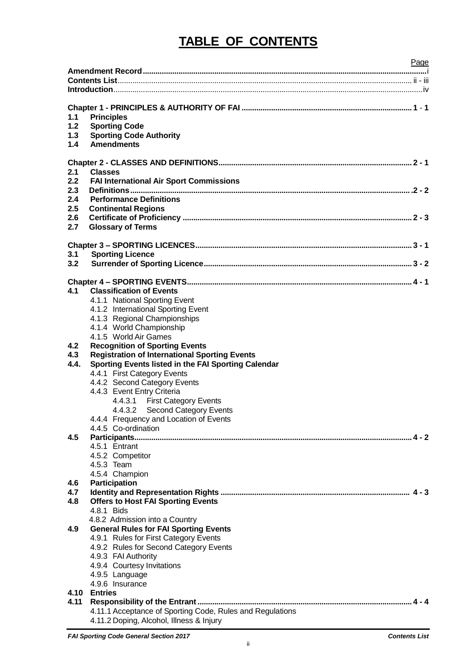# **TABLE OF CONTENTS**

|            | Page                                                      |
|------------|-----------------------------------------------------------|
|            |                                                           |
|            |                                                           |
|            |                                                           |
|            |                                                           |
|            |                                                           |
| 1.1<br>1.2 | <b>Principles</b>                                         |
| 1.3        | <b>Sporting Code</b>                                      |
| 1.4        | <b>Sporting Code Authority</b><br><b>Amendments</b>       |
|            |                                                           |
|            |                                                           |
| 2.1        | <b>Classes</b>                                            |
| 2.2        | <b>FAI International Air Sport Commissions</b>            |
| 2.3        |                                                           |
| 2.4        | <b>Performance Definitions</b>                            |
| 2.5        | <b>Continental Regions</b>                                |
| 2.6        |                                                           |
| 2.7        | <b>Glossary of Terms</b>                                  |
|            |                                                           |
|            |                                                           |
| 3.1        | <b>Sporting Licence</b>                                   |
| 3.2        |                                                           |
|            |                                                           |
|            |                                                           |
| 4.1        | <b>Classification of Events</b>                           |
|            | 4.1.1 National Sporting Event                             |
|            | 4.1.2 International Sporting Event                        |
|            | 4.1.3 Regional Championships                              |
|            | 4.1.4 World Championship                                  |
|            | 4.1.5 World Air Games                                     |
| 4.2        | <b>Recognition of Sporting Events</b>                     |
| 4.3        | <b>Registration of International Sporting Events</b>      |
| 4.4.       | Sporting Events listed in the FAI Sporting Calendar       |
|            | 4.4.1 First Category Events                               |
|            | 4.4.2 Second Category Events                              |
|            | 4.4.3 Event Entry Criteria                                |
|            | 4.4.3.1 First Category Events                             |
|            | 4.4.3.2 Second Category Events                            |
|            | 4.4.4 Frequency and Location of Events                    |
|            | 4.4.5 Co-ordination                                       |
| 4.5        |                                                           |
|            | 4.5.1 Entrant                                             |
|            | 4.5.2 Competitor                                          |
|            | 4.5.3 Team                                                |
|            | 4.5.4 Champion                                            |
| 4.6        | <b>Participation</b>                                      |
| 4.7        |                                                           |
| 4.8        | <b>Offers to Host FAI Sporting Events</b>                 |
|            | 4.8.1 Bids                                                |
|            | 4.8.2 Admission into a Country                            |
| 4.9        | <b>General Rules for FAI Sporting Events</b>              |
|            | 4.9.1 Rules for First Category Events                     |
|            | 4.9.2 Rules for Second Category Events                    |
|            | 4.9.3 FAI Authority                                       |
|            | 4.9.4 Courtesy Invitations                                |
|            | 4.9.5 Language                                            |
|            | 4.9.6 Insurance                                           |
|            | 4.10 Entries                                              |
| 4.11       |                                                           |
|            | 4.11.1 Acceptance of Sporting Code, Rules and Regulations |
|            | 4.11.2 Doping, Alcohol, Illness & Injury                  |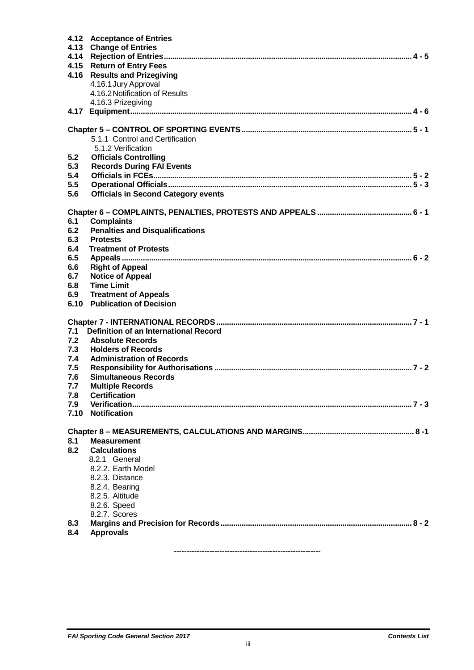|      | 4.12 Acceptance of Entries                 |
|------|--------------------------------------------|
|      | 4.13 Change of Entries                     |
|      |                                            |
|      | 4.15 Return of Entry Fees                  |
|      | 4.16 Results and Prizegiving               |
|      | 4.16.1 Jury Approval                       |
|      | 4.16.2 Notification of Results             |
|      | 4.16.3 Prizegiving                         |
| 4.17 |                                            |
|      |                                            |
|      |                                            |
|      | 5.1.1 Control and Certification            |
|      | 5.1.2 Verification                         |
| 5.2  | <b>Officials Controlling</b>               |
| 5.3  | <b>Records During FAI Events</b>           |
| 5.4  |                                            |
| 5.5  |                                            |
| 5.6  | <b>Officials in Second Category events</b> |
|      |                                            |
|      |                                            |
|      |                                            |
| 6.1  | <b>Complaints</b>                          |
| 6.2  | <b>Penalties and Disqualifications</b>     |
| 6.3  | <b>Protests</b>                            |
| 6.4  | <b>Treatment of Protests</b>               |
| 6.5  |                                            |
| 6.6  | <b>Right of Appeal</b>                     |
| 6.7  | <b>Notice of Appeal</b>                    |
| 6.8  | <b>Time Limit</b>                          |
| 6.9  | <b>Treatment of Appeals</b>                |
| 6.10 | <b>Publication of Decision</b>             |
|      |                                            |
|      |                                            |
| 7.1  | Definition of an International Record      |
| 7.2  | <b>Absolute Records</b>                    |
| 7.3  | <b>Holders of Records</b>                  |
| 7.4  | <b>Administration of Records</b>           |
| 7.5  |                                            |
| 7.6  | <b>Simultaneous Records</b>                |
| 7.7  | <b>Multiple Records</b>                    |
| 7.8  | <b>Certification</b>                       |
| 7.9  |                                            |
| 7.10 | <b>Notification</b>                        |
|      |                                            |
|      |                                            |
| 8.1  | <b>Measurement</b>                         |
| 8.2  | <b>Calculations</b>                        |
|      | 8.2.1 General                              |
|      | 8.2.2. Earth Model                         |
|      | 8.2.3. Distance                            |
|      | 8.2.4. Bearing                             |
|      | 8.2.5. Altitude                            |
|      | 8.2.6. Speed                               |
|      | 8.2.7. Scores                              |
| 8.3  |                                            |
| 8.4  | <b>Approvals</b>                           |
|      |                                            |

----------------------------------------------------------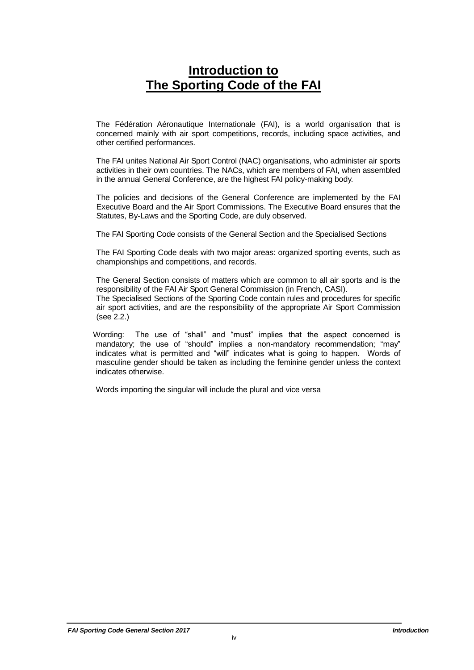### **Introduction to The Sporting Code of the FAI**

The Fédération Aéronautique Internationale (FAI), is a world organisation that is concerned mainly with air sport competitions, records, including space activities, and other certified performances.

The FAI unites National Air Sport Control (NAC) organisations, who administer air sports activities in their own countries. The NACs, which are members of FAI, when assembled in the annual General Conference, are the highest FAI policy-making body.

The policies and decisions of the General Conference are implemented by the FAI Executive Board and the Air Sport Commissions. The Executive Board ensures that the Statutes, By-Laws and the Sporting Code, are duly observed.

The FAI Sporting Code consists of the General Section and the Specialised Sections

The FAI Sporting Code deals with two major areas: organized sporting events, such as championships and competitions, and records.

The General Section consists of matters which are common to all air sports and is the responsibility of the FAI Air Sport General Commission (in French, CASI).

The Specialised Sections of the Sporting Code contain rules and procedures for specific air sport activities, and are the responsibility of the appropriate Air Sport Commission (see 2.2.)

 Wording: The use of "shall" and "must" implies that the aspect concerned is mandatory; the use of "should" implies a non-mandatory recommendation; "may" indicates what is permitted and "will" indicates what is going to happen. Words of masculine gender should be taken as including the feminine gender unless the context indicates otherwise.

Words importing the singular will include the plural and vice versa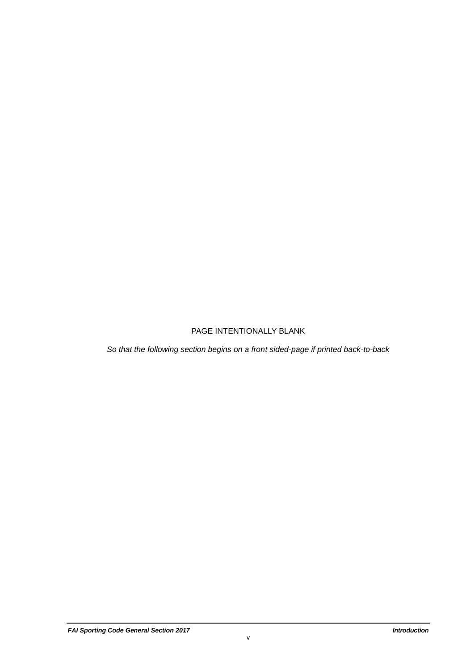### PAGE INTENTIONALLY BLANK

*So that the following section begins on a front sided-page if printed back-to-back*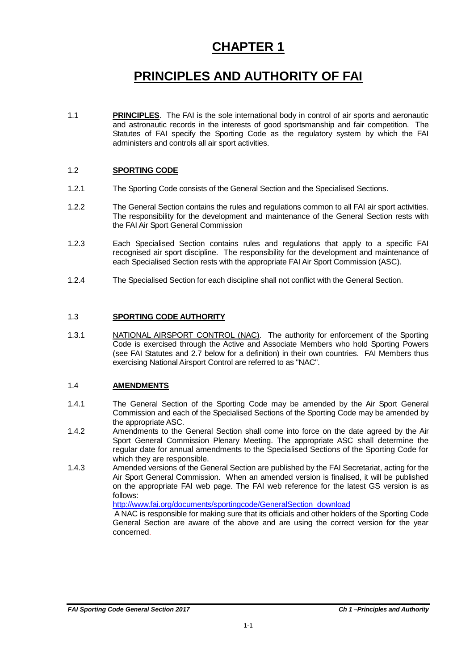### **CHAPTER 1**

# **PRINCIPLES AND AUTHORITY OF FAI**

1.1 **PRINCIPLES**. The FAI is the sole international body in control of air sports and aeronautic and astronautic records in the interests of good sportsmanship and fair competition. The Statutes of FAI specify the Sporting Code as the regulatory system by which the FAI administers and controls all air sport activities.

#### 1.2 **SPORTING CODE**

- 1.2.1 The Sporting Code consists of the General Section and the Specialised Sections.
- 1.2.2 The General Section contains the rules and regulations common to all FAI air sport activities. The responsibility for the development and maintenance of the General Section rests with the FAI Air Sport General Commission
- 1.2.3 Each Specialised Section contains rules and regulations that apply to a specific FAI recognised air sport discipline. The responsibility for the development and maintenance of each Specialised Section rests with the appropriate FAI Air Sport Commission (ASC).
- 1.2.4 The Specialised Section for each discipline shall not conflict with the General Section.

#### 1.3 **SPORTING CODE AUTHORITY**

1.3.1 **NATIONAL AIRSPORT CONTROL (NAC)**. The authority for enforcement of the Sporting Code is exercised through the Active and Associate Members who hold Sporting Powers (see FAI Statutes and 2.7 below for a definition) in their own countries. FAI Members thus exercising National Airsport Control are referred to as "NAC".

#### 1.4 **AMENDMENTS**

- 1.4.1 The General Section of the Sporting Code may be amended by the Air Sport General Commission and each of the Specialised Sections of the Sporting Code may be amended by the appropriate ASC.
- 1.4.2 Amendments to the General Section shall come into force on the date agreed by the Air Sport General Commission Plenary Meeting. The appropriate ASC shall determine the regular date for annual amendments to the Specialised Sections of the Sporting Code for which they are responsible.
- 1.4.3 Amended versions of the General Section are published by the FAI Secretariat, acting for the Air Sport General Commission. When an amended version is finalised, it will be published on the appropriate FAI web page. The FAI web reference for the latest GS version is as follows:

[http://www.fai.org/documents/sportingcode/GeneralSection\\_download](http://www.fai.org/documents/sportingcode/GeneralSection_download)

A NAC is responsible for making sure that its officials and other holders of the Sporting Code General Section are aware of the above and are using the correct version for the year concerned.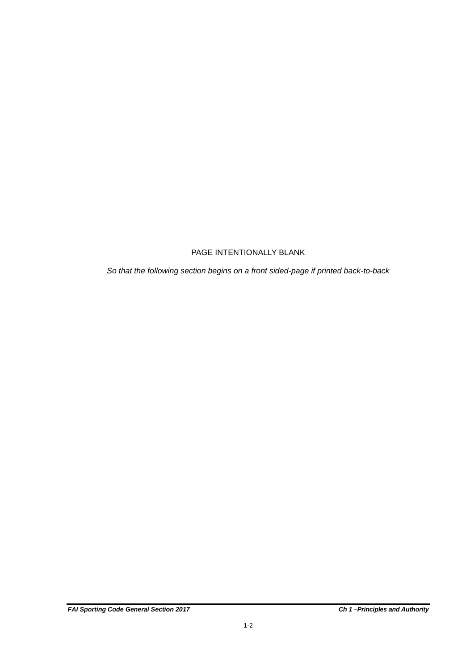### PAGE INTENTIONALLY BLANK

*So that the following section begins on a front sided-page if printed back-to-back*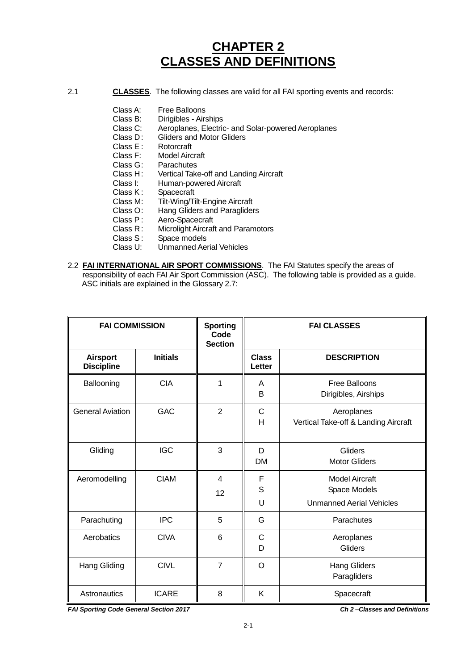### **CHAPTER 2 CLASSES AND DEFINITIONS**

- 2.1 **CLASSES**. The following classes are valid for all FAI sporting events and records:
	- Class A: Free Balloons<br>Class B: Dirigibles Airs
	- Class B: Dirigibles Airships<br>Class C: Aeroplanes. Electric
	- Class C: Aeroplanes, Electric- and Solar-powered Aeroplanes<br>Class D: Gliders and Motor Gliders
	- Gliders and Motor Gliders<br>Rotorcraft
	- Class E :<br>Class F:
	- Class F: Model Aircraft<br>Class G: Parachutes
	- Class G: Parachutes<br>Class H: Vertical Take
	- Class H: Vertical Take-off and Landing Aircraft
	- Class I: Human-powered Aircraft<br>Class K: Spacecraft
	- Class K: Spacecraft<br>Class M: Tilt-Wing/Ti
	- Class M: Tilt-Wing/Tilt-Engine Aircraft<br>Class O: Hang Gliders and Paraglider
	- Class O: Hang Gliders and Paragliders<br>Class P: Aero-Spacecraft
	- Class P: Aero-Spacecraft<br>Class R: Microlight Aircraft
	- Class R: Microlight Aircraft and Paramotors<br>Class S: Space models
	- Class S: Space models<br>Class U: Unmanned Ae
	- Unmanned Aerial Vehicles
- 2.2 **FAI INTERNATIONAL AIR SPORT COMMISSIONS**. The FAI Statutes specify the areas of responsibility of each FAI Air Sport Commission (ASC). The following table is provided as a guide. ASC initials are explained in the Glossary 2.7:

| <b>FAI COMMISSION</b>                |                 | <b>Sporting</b><br>Code<br><b>Section</b> | <b>FAI CLASSES</b>     |                                                                          |
|--------------------------------------|-----------------|-------------------------------------------|------------------------|--------------------------------------------------------------------------|
| <b>Airsport</b><br><b>Discipline</b> | <b>Initials</b> |                                           | <b>Class</b><br>Letter | <b>DESCRIPTION</b>                                                       |
| Ballooning                           | <b>CIA</b>      | 1                                         | A<br>B                 | <b>Free Balloons</b><br>Dirigibles, Airships                             |
| <b>General Aviation</b>              | <b>GAC</b>      | $\overline{2}$                            | $\mathsf{C}$<br>Н      | Aeroplanes<br>Vertical Take-off & Landing Aircraft                       |
| Gliding                              | <b>IGC</b>      | 3                                         | D<br><b>DM</b>         | Gliders<br><b>Motor Gliders</b>                                          |
| Aeromodelling                        | <b>CIAM</b>     | 4<br>12                                   | F<br>S<br>U            | <b>Model Aircraft</b><br>Space Models<br><b>Unmanned Aerial Vehicles</b> |
| Parachuting                          | <b>IPC</b>      | 5                                         | G                      | Parachutes                                                               |
| Aerobatics                           | <b>CIVA</b>     | 6                                         | C<br>D                 | Aeroplanes<br>Gliders                                                    |
| <b>Hang Gliding</b>                  | <b>CIVL</b>     | $\overline{7}$                            | O                      | <b>Hang Gliders</b><br>Paragliders                                       |
| Astronautics                         | <b>ICARE</b>    | 8                                         | Κ                      | Spacecraft                                                               |

*FAI Sporting Code General Section 2017 Ch 2 –Classes and Definitions*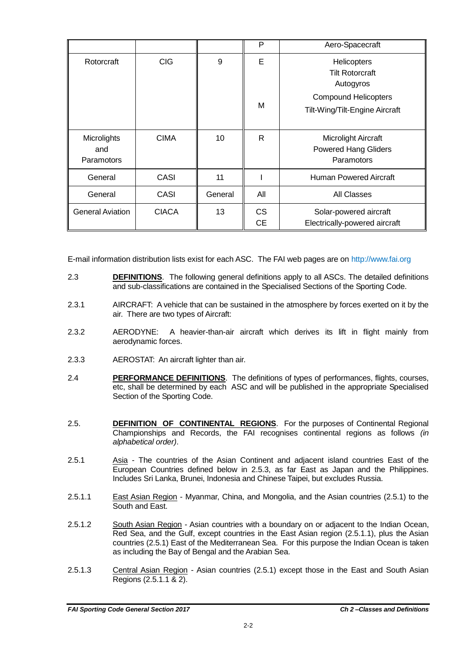|                         |              |         | P         | Aero-Spacecraft                                    |
|-------------------------|--------------|---------|-----------|----------------------------------------------------|
| Rotorcraft              | <b>CIG</b>   | 9       | Е         | Helicopters<br><b>Tilt Rotorcraft</b><br>Autogyros |
|                         |              |         |           | <b>Compound Helicopters</b>                        |
|                         |              |         | M         | Tilt-Wing/Tilt-Engine Aircraft                     |
| Microlights             | <b>CIMA</b>  | 10      | R         | Microlight Aircraft                                |
| and                     |              |         |           | <b>Powered Hang Gliders</b>                        |
| Paramotors              |              |         |           | Paramotors                                         |
| General                 | CASI         | 11      |           | <b>Human Powered Aircraft</b>                      |
| General                 | CASI         | General | All       | <b>All Classes</b>                                 |
| <b>General Aviation</b> | <b>CIACA</b> | 13      | <b>CS</b> | Solar-powered aircraft                             |
|                         |              |         | <b>CE</b> | Electrically-powered aircraft                      |

E-mail information distribution lists exist for each ASC. The FAI web pages are on http://www.fai.org

- 2.3 **DEFINITIONS**. The following general definitions apply to all ASCs. The detailed definitions and sub-classifications are contained in the Specialised Sections of the Sporting Code.
- 2.3.1 AIRCRAFT: A vehicle that can be sustained in the atmosphere by forces exerted on it by the air. There are two types of Aircraft:
- 2.3.2 AERODYNE: A heavier-than-air aircraft which derives its lift in flight mainly from aerodynamic forces.
- 2.3.3 AEROSTAT: An aircraft lighter than air.
- 2.4 **PERFORMANCE DEFINITIONS**. The definitions of types of performances, flights, courses, etc, shall be determined by each ASC and will be published in the appropriate Specialised Section of the Sporting Code.
- 2.5. **DEFINITION OF CONTINENTAL REGIONS**. For the purposes of Continental Regional Championships and Records, the FAI recognises continental regions as follows *(in alphabetical order)*.
- 2.5.1 Asia The countries of the Asian Continent and adjacent island countries East of the European Countries defined below in 2.5.3, as far East as Japan and the Philippines. Includes Sri Lanka, Brunei, Indonesia and Chinese Taipei, but excludes Russia.
- 2.5.1.1 **East Asian Region** Myanmar, China, and Mongolia, and the Asian countries (2.5.1) to the South and East.
- 2.5.1.2 South Asian Region Asian countries with a boundary on or adjacent to the Indian Ocean, Red Sea, and the Gulf, except countries in the East Asian region (2.5.1.1), plus the Asian countries (2.5.1) East of the Mediterranean Sea. For this purpose the Indian Ocean is taken as including the Bay of Bengal and the Arabian Sea.
- 2.5.1.3 Central Asian Region Asian countries (2.5.1) except those in the East and South Asian Regions (2.5.1.1 & 2).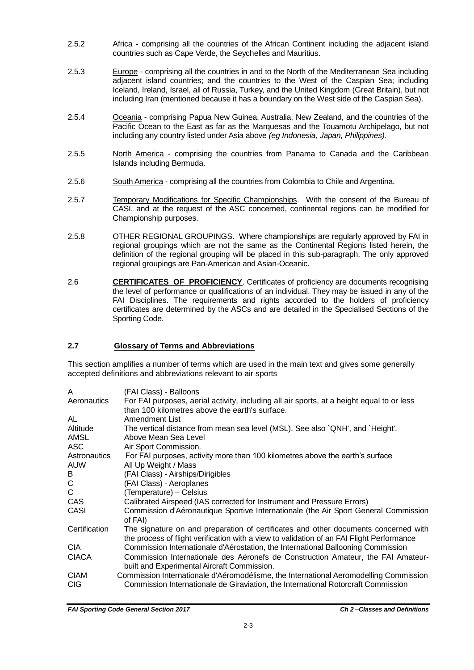- 2.5.2 Africa comprising all the countries of the African Continent including the adjacent island countries such as Cape Verde, the Seychelles and Mauritius.
- 2.5.3 Europe comprising all the countries in and to the North of the Mediterranean Sea including adjacent island countries; and the countries to the West of the Caspian Sea; including Iceland, Ireland, Israel, all of Russia, Turkey, and the United Kingdom (Great Britain), but not including Iran (mentioned because it has a boundary on the West side of the Caspian Sea).
- 2.5.4 Oceania comprising Papua New Guinea, Australia, New Zealand, and the countries of the Pacific Ocean to the East as far as the Marquesas and the Touamotu Archipelago, but not including any country listed under Asia above *(eg Indonesia, Japan, Philippines)*.
- 2.5.5 North America comprising the countries from Panama to Canada and the Caribbean Islands including Bermuda.
- 2.5.6 South America comprising all the countries from Colombia to Chile and Argentina.
- 2.5.7 Temporary Modifications for Specific Championships. With the consent of the Bureau of CASI, and at the request of the ASC concerned, continental regions can be modified for Championship purposes.
- 2.5.8 OTHER REGIONAL GROUPINGS. Where championships are regularly approved by FAI in regional groupings which are not the same as the Continental Regions listed herein, the definition of the regional grouping will be placed in this sub-paragraph. The only approved regional groupings are Pan-American and Asian-Oceanic.
- 2.6 **CERTIFICATES OF PROFICIENCY**. Certificates of proficiency are documents recognising the level of performance or qualifications of an individual. They may be issued in any of the FAI Disciplines. The requirements and rights accorded to the holders of proficiency certificates are determined by the ASCs and are detailed in the Specialised Sections of the Sporting Code.

#### **2.7 Glossary of Terms and Abbreviations**

This section amplifies a number of terms which are used in the main text and gives some generally accepted definitions and abbreviations relevant to air sports

| For FAI purposes, aerial activity, including all air sports, at a height equal to or less<br>than 100 kilometres above the earth's surface.<br>Amendment List<br>The vertical distance from mean sea level (MSL). See also `QNH', and `Height'.<br>Above Mean Sea Level<br>Air Sport Commission.<br>For FAI purposes, activity more than 100 kilometres above the earth's surface<br>All Up Weight / Mass<br>(FAI Class) - Airships/Dirigibles<br>(FAI Class) - Aeroplanes<br>(Temperature) - Celsius<br>Calibrated Airspeed (IAS corrected for Instrument and Pressure Errors)<br>Commission d'Aéronautique Sportive Internationale (the Air Sport General Commission<br>of FAI)<br>The signature on and preparation of certificates and other documents concerned with<br>the process of flight verification with a view to validation of an FAI Flight Performance<br>Commission Internationale d'Aérostation, the International Ballooning Commission<br>Commission Internationale des Aéronefs de Construction Amateur, the FAI Amateur-<br>built and Experimental Aircraft Commission.<br>Commission Internationale d'Aéromodélisme, the International Aeromodelling Commission | A                   | (FAI Class) - Balloons                                                            |
|---------------------------------------------------------------------------------------------------------------------------------------------------------------------------------------------------------------------------------------------------------------------------------------------------------------------------------------------------------------------------------------------------------------------------------------------------------------------------------------------------------------------------------------------------------------------------------------------------------------------------------------------------------------------------------------------------------------------------------------------------------------------------------------------------------------------------------------------------------------------------------------------------------------------------------------------------------------------------------------------------------------------------------------------------------------------------------------------------------------------------------------------------------------------------------------|---------------------|-----------------------------------------------------------------------------------|
|                                                                                                                                                                                                                                                                                                                                                                                                                                                                                                                                                                                                                                                                                                                                                                                                                                                                                                                                                                                                                                                                                                                                                                                       | Aeronautics         |                                                                                   |
|                                                                                                                                                                                                                                                                                                                                                                                                                                                                                                                                                                                                                                                                                                                                                                                                                                                                                                                                                                                                                                                                                                                                                                                       | AL                  |                                                                                   |
|                                                                                                                                                                                                                                                                                                                                                                                                                                                                                                                                                                                                                                                                                                                                                                                                                                                                                                                                                                                                                                                                                                                                                                                       | Altitude            |                                                                                   |
|                                                                                                                                                                                                                                                                                                                                                                                                                                                                                                                                                                                                                                                                                                                                                                                                                                                                                                                                                                                                                                                                                                                                                                                       | AMSL                |                                                                                   |
|                                                                                                                                                                                                                                                                                                                                                                                                                                                                                                                                                                                                                                                                                                                                                                                                                                                                                                                                                                                                                                                                                                                                                                                       | ASC                 |                                                                                   |
|                                                                                                                                                                                                                                                                                                                                                                                                                                                                                                                                                                                                                                                                                                                                                                                                                                                                                                                                                                                                                                                                                                                                                                                       | <b>Astronautics</b> |                                                                                   |
|                                                                                                                                                                                                                                                                                                                                                                                                                                                                                                                                                                                                                                                                                                                                                                                                                                                                                                                                                                                                                                                                                                                                                                                       | auw                 |                                                                                   |
|                                                                                                                                                                                                                                                                                                                                                                                                                                                                                                                                                                                                                                                                                                                                                                                                                                                                                                                                                                                                                                                                                                                                                                                       | В                   |                                                                                   |
|                                                                                                                                                                                                                                                                                                                                                                                                                                                                                                                                                                                                                                                                                                                                                                                                                                                                                                                                                                                                                                                                                                                                                                                       | С                   |                                                                                   |
|                                                                                                                                                                                                                                                                                                                                                                                                                                                                                                                                                                                                                                                                                                                                                                                                                                                                                                                                                                                                                                                                                                                                                                                       | C                   |                                                                                   |
|                                                                                                                                                                                                                                                                                                                                                                                                                                                                                                                                                                                                                                                                                                                                                                                                                                                                                                                                                                                                                                                                                                                                                                                       | CAS                 |                                                                                   |
|                                                                                                                                                                                                                                                                                                                                                                                                                                                                                                                                                                                                                                                                                                                                                                                                                                                                                                                                                                                                                                                                                                                                                                                       | CASI                |                                                                                   |
|                                                                                                                                                                                                                                                                                                                                                                                                                                                                                                                                                                                                                                                                                                                                                                                                                                                                                                                                                                                                                                                                                                                                                                                       | Certification       |                                                                                   |
|                                                                                                                                                                                                                                                                                                                                                                                                                                                                                                                                                                                                                                                                                                                                                                                                                                                                                                                                                                                                                                                                                                                                                                                       | <b>CIA</b>          |                                                                                   |
|                                                                                                                                                                                                                                                                                                                                                                                                                                                                                                                                                                                                                                                                                                                                                                                                                                                                                                                                                                                                                                                                                                                                                                                       | CIACA               |                                                                                   |
|                                                                                                                                                                                                                                                                                                                                                                                                                                                                                                                                                                                                                                                                                                                                                                                                                                                                                                                                                                                                                                                                                                                                                                                       | CIAM                |                                                                                   |
|                                                                                                                                                                                                                                                                                                                                                                                                                                                                                                                                                                                                                                                                                                                                                                                                                                                                                                                                                                                                                                                                                                                                                                                       | <b>CIG</b>          | Commission Internationale de Giraviation, the International Rotorcraft Commission |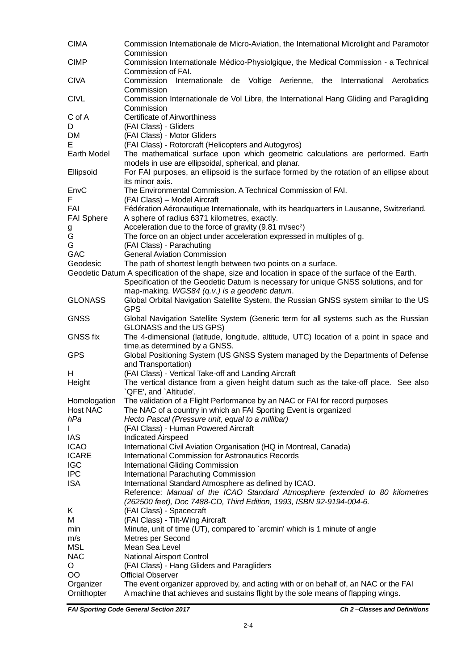| Commission Internationale Médico-Physiolgique, the Medical Commission - a Technical<br>Commission of FAI.<br>Internationale de Voltige Aerienne, the International<br>Commission<br>Aerobatics<br>Commission<br>Commission Internationale de Vol Libre, the International Hang Gliding and Paragliding<br>Commission<br>C of A<br><b>Certificate of Airworthiness</b><br>D<br>(FAI Class) - Gliders<br>DM<br>(FAI Class) - Motor Gliders<br>E<br>(FAI Class) - Rotorcraft (Helicopters and Autogyros)<br>The mathematical surface upon which geometric calculations are performed. Earth<br>models in use are ellipsoidal, spherical, and planar.<br>For FAI purposes, an ellipsoid is the surface formed by the rotation of an ellipse about<br>its minor axis.<br>The Environmental Commission. A Technical Commission of FAI.<br>EnvC<br>F<br>(FAI Class) - Model Aircraft<br>FAI<br>Fédération Aéronautique Internationale, with its headquarters in Lausanne, Switzerland.<br><b>FAI Sphere</b><br>A sphere of radius 6371 kilometres, exactly.<br>Acceleration due to the force of gravity (9.81 m/sec <sup>2</sup> )<br>g<br>G<br>The force on an object under acceleration expressed in multiples of g.<br>G<br>(FAI Class) - Parachuting<br><b>General Aviation Commission</b><br>The path of shortest length between two points on a surface.<br>Geodetic Datum A specification of the shape, size and location in space of the surface of the Earth.<br>Specification of the Geodetic Datum is necessary for unique GNSS solutions, and for<br>map-making. WGS84 (q.v.) is a geodetic datum.<br>Global Orbital Navigation Satellite System, the Russian GNSS system similar to the US<br><b>GPS</b><br>Global Navigation Satellite System (Generic term for all systems such as the Russian<br>GLONASS and the US GPS)<br>The 4-dimensional (latitude, longitude, altitude, UTC) location of a point in space and<br>time, as determined by a GNSS.<br>Global Positioning System (US GNSS System managed by the Departments of Defense<br>and Transportation)<br>(FAI Class) - Vertical Take-off and Landing Aircraft<br>Height<br>The vertical distance from a given height datum such as the take-off place. See also<br>`QFE', and `Altitude'.<br>The validation of a Flight Performance by an NAC or FAI for record purposes<br>Homologation<br>The NAC of a country in which an FAI Sporting Event is organized<br>Hecto Pascal (Pressure unit, equal to a millibar)<br>(FAI Class) - Human Powered Aircraft<br>IAS<br><b>Indicated Airspeed</b><br>International Civil Aviation Organisation (HQ in Montreal, Canada)<br><b>International Commission for Astronautics Records</b><br><b>International Gliding Commission</b><br><b>IPC</b><br>International Parachuting Commission<br>International Standard Atmosphere as defined by ICAO.<br>Reference: Manual of the ICAO Standard Atmosphere (extended to 80 kilometres<br>(262500 feet), Doc 7488-CD, Third Edition, 1993, ISBN 92-9194-004-6.<br>Κ<br>(FAI Class) - Spacecraft<br>(FAI Class) - Tilt-Wing Aircraft<br>М<br>Minute, unit of time (UT), compared to `arcmin' which is 1 minute of angle<br>Metres per Second<br>m/s<br><b>MSL</b><br>Mean Sea Level<br><b>NAC</b><br><b>National Airsport Control</b><br>(FAI Class) - Hang Gliders and Paragliders<br>O<br>OO<br><b>Official Observer</b><br>The event organizer approved by, and acting with or on behalf of, an NAC or the FAI<br>Organizer<br>A machine that achieves and sustains flight by the sole means of flapping wings. | <b>CIMA</b>     | Commission Internationale de Micro-Aviation, the International Microlight and Paramotor<br>Commission |
|-------------------------------------------------------------------------------------------------------------------------------------------------------------------------------------------------------------------------------------------------------------------------------------------------------------------------------------------------------------------------------------------------------------------------------------------------------------------------------------------------------------------------------------------------------------------------------------------------------------------------------------------------------------------------------------------------------------------------------------------------------------------------------------------------------------------------------------------------------------------------------------------------------------------------------------------------------------------------------------------------------------------------------------------------------------------------------------------------------------------------------------------------------------------------------------------------------------------------------------------------------------------------------------------------------------------------------------------------------------------------------------------------------------------------------------------------------------------------------------------------------------------------------------------------------------------------------------------------------------------------------------------------------------------------------------------------------------------------------------------------------------------------------------------------------------------------------------------------------------------------------------------------------------------------------------------------------------------------------------------------------------------------------------------------------------------------------------------------------------------------------------------------------------------------------------------------------------------------------------------------------------------------------------------------------------------------------------------------------------------------------------------------------------------------------------------------------------------------------------------------------------------------------------------------------------------------------------------------------------------------------------------------------------------------------------------------------------------------------------------------------------------------------------------------------------------------------------------------------------------------------------------------------------------------------------------------------------------------------------------------------------------------------------------------------------------------------------------------------------------------------------------------------------------------------------------------------------------------------------------------------------------------------------------------------------------------------------------------------------------------------------------------------------------------------------------------------------------------------------------------------------------------------------------------------------------------|-----------------|-------------------------------------------------------------------------------------------------------|
|                                                                                                                                                                                                                                                                                                                                                                                                                                                                                                                                                                                                                                                                                                                                                                                                                                                                                                                                                                                                                                                                                                                                                                                                                                                                                                                                                                                                                                                                                                                                                                                                                                                                                                                                                                                                                                                                                                                                                                                                                                                                                                                                                                                                                                                                                                                                                                                                                                                                                                                                                                                                                                                                                                                                                                                                                                                                                                                                                                                                                                                                                                                                                                                                                                                                                                                                                                                                                                                                                                                                                                         | <b>CIMP</b>     |                                                                                                       |
|                                                                                                                                                                                                                                                                                                                                                                                                                                                                                                                                                                                                                                                                                                                                                                                                                                                                                                                                                                                                                                                                                                                                                                                                                                                                                                                                                                                                                                                                                                                                                                                                                                                                                                                                                                                                                                                                                                                                                                                                                                                                                                                                                                                                                                                                                                                                                                                                                                                                                                                                                                                                                                                                                                                                                                                                                                                                                                                                                                                                                                                                                                                                                                                                                                                                                                                                                                                                                                                                                                                                                                         | <b>CIVA</b>     |                                                                                                       |
|                                                                                                                                                                                                                                                                                                                                                                                                                                                                                                                                                                                                                                                                                                                                                                                                                                                                                                                                                                                                                                                                                                                                                                                                                                                                                                                                                                                                                                                                                                                                                                                                                                                                                                                                                                                                                                                                                                                                                                                                                                                                                                                                                                                                                                                                                                                                                                                                                                                                                                                                                                                                                                                                                                                                                                                                                                                                                                                                                                                                                                                                                                                                                                                                                                                                                                                                                                                                                                                                                                                                                                         | <b>CIVL</b>     |                                                                                                       |
|                                                                                                                                                                                                                                                                                                                                                                                                                                                                                                                                                                                                                                                                                                                                                                                                                                                                                                                                                                                                                                                                                                                                                                                                                                                                                                                                                                                                                                                                                                                                                                                                                                                                                                                                                                                                                                                                                                                                                                                                                                                                                                                                                                                                                                                                                                                                                                                                                                                                                                                                                                                                                                                                                                                                                                                                                                                                                                                                                                                                                                                                                                                                                                                                                                                                                                                                                                                                                                                                                                                                                                         |                 |                                                                                                       |
|                                                                                                                                                                                                                                                                                                                                                                                                                                                                                                                                                                                                                                                                                                                                                                                                                                                                                                                                                                                                                                                                                                                                                                                                                                                                                                                                                                                                                                                                                                                                                                                                                                                                                                                                                                                                                                                                                                                                                                                                                                                                                                                                                                                                                                                                                                                                                                                                                                                                                                                                                                                                                                                                                                                                                                                                                                                                                                                                                                                                                                                                                                                                                                                                                                                                                                                                                                                                                                                                                                                                                                         |                 |                                                                                                       |
|                                                                                                                                                                                                                                                                                                                                                                                                                                                                                                                                                                                                                                                                                                                                                                                                                                                                                                                                                                                                                                                                                                                                                                                                                                                                                                                                                                                                                                                                                                                                                                                                                                                                                                                                                                                                                                                                                                                                                                                                                                                                                                                                                                                                                                                                                                                                                                                                                                                                                                                                                                                                                                                                                                                                                                                                                                                                                                                                                                                                                                                                                                                                                                                                                                                                                                                                                                                                                                                                                                                                                                         |                 |                                                                                                       |
|                                                                                                                                                                                                                                                                                                                                                                                                                                                                                                                                                                                                                                                                                                                                                                                                                                                                                                                                                                                                                                                                                                                                                                                                                                                                                                                                                                                                                                                                                                                                                                                                                                                                                                                                                                                                                                                                                                                                                                                                                                                                                                                                                                                                                                                                                                                                                                                                                                                                                                                                                                                                                                                                                                                                                                                                                                                                                                                                                                                                                                                                                                                                                                                                                                                                                                                                                                                                                                                                                                                                                                         |                 |                                                                                                       |
|                                                                                                                                                                                                                                                                                                                                                                                                                                                                                                                                                                                                                                                                                                                                                                                                                                                                                                                                                                                                                                                                                                                                                                                                                                                                                                                                                                                                                                                                                                                                                                                                                                                                                                                                                                                                                                                                                                                                                                                                                                                                                                                                                                                                                                                                                                                                                                                                                                                                                                                                                                                                                                                                                                                                                                                                                                                                                                                                                                                                                                                                                                                                                                                                                                                                                                                                                                                                                                                                                                                                                                         | Earth Model     |                                                                                                       |
|                                                                                                                                                                                                                                                                                                                                                                                                                                                                                                                                                                                                                                                                                                                                                                                                                                                                                                                                                                                                                                                                                                                                                                                                                                                                                                                                                                                                                                                                                                                                                                                                                                                                                                                                                                                                                                                                                                                                                                                                                                                                                                                                                                                                                                                                                                                                                                                                                                                                                                                                                                                                                                                                                                                                                                                                                                                                                                                                                                                                                                                                                                                                                                                                                                                                                                                                                                                                                                                                                                                                                                         |                 |                                                                                                       |
|                                                                                                                                                                                                                                                                                                                                                                                                                                                                                                                                                                                                                                                                                                                                                                                                                                                                                                                                                                                                                                                                                                                                                                                                                                                                                                                                                                                                                                                                                                                                                                                                                                                                                                                                                                                                                                                                                                                                                                                                                                                                                                                                                                                                                                                                                                                                                                                                                                                                                                                                                                                                                                                                                                                                                                                                                                                                                                                                                                                                                                                                                                                                                                                                                                                                                                                                                                                                                                                                                                                                                                         | Ellipsoid       |                                                                                                       |
|                                                                                                                                                                                                                                                                                                                                                                                                                                                                                                                                                                                                                                                                                                                                                                                                                                                                                                                                                                                                                                                                                                                                                                                                                                                                                                                                                                                                                                                                                                                                                                                                                                                                                                                                                                                                                                                                                                                                                                                                                                                                                                                                                                                                                                                                                                                                                                                                                                                                                                                                                                                                                                                                                                                                                                                                                                                                                                                                                                                                                                                                                                                                                                                                                                                                                                                                                                                                                                                                                                                                                                         |                 |                                                                                                       |
|                                                                                                                                                                                                                                                                                                                                                                                                                                                                                                                                                                                                                                                                                                                                                                                                                                                                                                                                                                                                                                                                                                                                                                                                                                                                                                                                                                                                                                                                                                                                                                                                                                                                                                                                                                                                                                                                                                                                                                                                                                                                                                                                                                                                                                                                                                                                                                                                                                                                                                                                                                                                                                                                                                                                                                                                                                                                                                                                                                                                                                                                                                                                                                                                                                                                                                                                                                                                                                                                                                                                                                         |                 |                                                                                                       |
|                                                                                                                                                                                                                                                                                                                                                                                                                                                                                                                                                                                                                                                                                                                                                                                                                                                                                                                                                                                                                                                                                                                                                                                                                                                                                                                                                                                                                                                                                                                                                                                                                                                                                                                                                                                                                                                                                                                                                                                                                                                                                                                                                                                                                                                                                                                                                                                                                                                                                                                                                                                                                                                                                                                                                                                                                                                                                                                                                                                                                                                                                                                                                                                                                                                                                                                                                                                                                                                                                                                                                                         |                 |                                                                                                       |
|                                                                                                                                                                                                                                                                                                                                                                                                                                                                                                                                                                                                                                                                                                                                                                                                                                                                                                                                                                                                                                                                                                                                                                                                                                                                                                                                                                                                                                                                                                                                                                                                                                                                                                                                                                                                                                                                                                                                                                                                                                                                                                                                                                                                                                                                                                                                                                                                                                                                                                                                                                                                                                                                                                                                                                                                                                                                                                                                                                                                                                                                                                                                                                                                                                                                                                                                                                                                                                                                                                                                                                         |                 |                                                                                                       |
|                                                                                                                                                                                                                                                                                                                                                                                                                                                                                                                                                                                                                                                                                                                                                                                                                                                                                                                                                                                                                                                                                                                                                                                                                                                                                                                                                                                                                                                                                                                                                                                                                                                                                                                                                                                                                                                                                                                                                                                                                                                                                                                                                                                                                                                                                                                                                                                                                                                                                                                                                                                                                                                                                                                                                                                                                                                                                                                                                                                                                                                                                                                                                                                                                                                                                                                                                                                                                                                                                                                                                                         |                 |                                                                                                       |
|                                                                                                                                                                                                                                                                                                                                                                                                                                                                                                                                                                                                                                                                                                                                                                                                                                                                                                                                                                                                                                                                                                                                                                                                                                                                                                                                                                                                                                                                                                                                                                                                                                                                                                                                                                                                                                                                                                                                                                                                                                                                                                                                                                                                                                                                                                                                                                                                                                                                                                                                                                                                                                                                                                                                                                                                                                                                                                                                                                                                                                                                                                                                                                                                                                                                                                                                                                                                                                                                                                                                                                         |                 |                                                                                                       |
|                                                                                                                                                                                                                                                                                                                                                                                                                                                                                                                                                                                                                                                                                                                                                                                                                                                                                                                                                                                                                                                                                                                                                                                                                                                                                                                                                                                                                                                                                                                                                                                                                                                                                                                                                                                                                                                                                                                                                                                                                                                                                                                                                                                                                                                                                                                                                                                                                                                                                                                                                                                                                                                                                                                                                                                                                                                                                                                                                                                                                                                                                                                                                                                                                                                                                                                                                                                                                                                                                                                                                                         |                 |                                                                                                       |
|                                                                                                                                                                                                                                                                                                                                                                                                                                                                                                                                                                                                                                                                                                                                                                                                                                                                                                                                                                                                                                                                                                                                                                                                                                                                                                                                                                                                                                                                                                                                                                                                                                                                                                                                                                                                                                                                                                                                                                                                                                                                                                                                                                                                                                                                                                                                                                                                                                                                                                                                                                                                                                                                                                                                                                                                                                                                                                                                                                                                                                                                                                                                                                                                                                                                                                                                                                                                                                                                                                                                                                         | <b>GAC</b>      |                                                                                                       |
|                                                                                                                                                                                                                                                                                                                                                                                                                                                                                                                                                                                                                                                                                                                                                                                                                                                                                                                                                                                                                                                                                                                                                                                                                                                                                                                                                                                                                                                                                                                                                                                                                                                                                                                                                                                                                                                                                                                                                                                                                                                                                                                                                                                                                                                                                                                                                                                                                                                                                                                                                                                                                                                                                                                                                                                                                                                                                                                                                                                                                                                                                                                                                                                                                                                                                                                                                                                                                                                                                                                                                                         | Geodesic        |                                                                                                       |
|                                                                                                                                                                                                                                                                                                                                                                                                                                                                                                                                                                                                                                                                                                                                                                                                                                                                                                                                                                                                                                                                                                                                                                                                                                                                                                                                                                                                                                                                                                                                                                                                                                                                                                                                                                                                                                                                                                                                                                                                                                                                                                                                                                                                                                                                                                                                                                                                                                                                                                                                                                                                                                                                                                                                                                                                                                                                                                                                                                                                                                                                                                                                                                                                                                                                                                                                                                                                                                                                                                                                                                         |                 |                                                                                                       |
|                                                                                                                                                                                                                                                                                                                                                                                                                                                                                                                                                                                                                                                                                                                                                                                                                                                                                                                                                                                                                                                                                                                                                                                                                                                                                                                                                                                                                                                                                                                                                                                                                                                                                                                                                                                                                                                                                                                                                                                                                                                                                                                                                                                                                                                                                                                                                                                                                                                                                                                                                                                                                                                                                                                                                                                                                                                                                                                                                                                                                                                                                                                                                                                                                                                                                                                                                                                                                                                                                                                                                                         |                 |                                                                                                       |
|                                                                                                                                                                                                                                                                                                                                                                                                                                                                                                                                                                                                                                                                                                                                                                                                                                                                                                                                                                                                                                                                                                                                                                                                                                                                                                                                                                                                                                                                                                                                                                                                                                                                                                                                                                                                                                                                                                                                                                                                                                                                                                                                                                                                                                                                                                                                                                                                                                                                                                                                                                                                                                                                                                                                                                                                                                                                                                                                                                                                                                                                                                                                                                                                                                                                                                                                                                                                                                                                                                                                                                         |                 |                                                                                                       |
|                                                                                                                                                                                                                                                                                                                                                                                                                                                                                                                                                                                                                                                                                                                                                                                                                                                                                                                                                                                                                                                                                                                                                                                                                                                                                                                                                                                                                                                                                                                                                                                                                                                                                                                                                                                                                                                                                                                                                                                                                                                                                                                                                                                                                                                                                                                                                                                                                                                                                                                                                                                                                                                                                                                                                                                                                                                                                                                                                                                                                                                                                                                                                                                                                                                                                                                                                                                                                                                                                                                                                                         | <b>GLONASS</b>  |                                                                                                       |
|                                                                                                                                                                                                                                                                                                                                                                                                                                                                                                                                                                                                                                                                                                                                                                                                                                                                                                                                                                                                                                                                                                                                                                                                                                                                                                                                                                                                                                                                                                                                                                                                                                                                                                                                                                                                                                                                                                                                                                                                                                                                                                                                                                                                                                                                                                                                                                                                                                                                                                                                                                                                                                                                                                                                                                                                                                                                                                                                                                                                                                                                                                                                                                                                                                                                                                                                                                                                                                                                                                                                                                         | <b>GNSS</b>     |                                                                                                       |
|                                                                                                                                                                                                                                                                                                                                                                                                                                                                                                                                                                                                                                                                                                                                                                                                                                                                                                                                                                                                                                                                                                                                                                                                                                                                                                                                                                                                                                                                                                                                                                                                                                                                                                                                                                                                                                                                                                                                                                                                                                                                                                                                                                                                                                                                                                                                                                                                                                                                                                                                                                                                                                                                                                                                                                                                                                                                                                                                                                                                                                                                                                                                                                                                                                                                                                                                                                                                                                                                                                                                                                         | <b>GNSS fix</b> |                                                                                                       |
|                                                                                                                                                                                                                                                                                                                                                                                                                                                                                                                                                                                                                                                                                                                                                                                                                                                                                                                                                                                                                                                                                                                                                                                                                                                                                                                                                                                                                                                                                                                                                                                                                                                                                                                                                                                                                                                                                                                                                                                                                                                                                                                                                                                                                                                                                                                                                                                                                                                                                                                                                                                                                                                                                                                                                                                                                                                                                                                                                                                                                                                                                                                                                                                                                                                                                                                                                                                                                                                                                                                                                                         | <b>GPS</b>      |                                                                                                       |
|                                                                                                                                                                                                                                                                                                                                                                                                                                                                                                                                                                                                                                                                                                                                                                                                                                                                                                                                                                                                                                                                                                                                                                                                                                                                                                                                                                                                                                                                                                                                                                                                                                                                                                                                                                                                                                                                                                                                                                                                                                                                                                                                                                                                                                                                                                                                                                                                                                                                                                                                                                                                                                                                                                                                                                                                                                                                                                                                                                                                                                                                                                                                                                                                                                                                                                                                                                                                                                                                                                                                                                         | H               |                                                                                                       |
|                                                                                                                                                                                                                                                                                                                                                                                                                                                                                                                                                                                                                                                                                                                                                                                                                                                                                                                                                                                                                                                                                                                                                                                                                                                                                                                                                                                                                                                                                                                                                                                                                                                                                                                                                                                                                                                                                                                                                                                                                                                                                                                                                                                                                                                                                                                                                                                                                                                                                                                                                                                                                                                                                                                                                                                                                                                                                                                                                                                                                                                                                                                                                                                                                                                                                                                                                                                                                                                                                                                                                                         |                 |                                                                                                       |
|                                                                                                                                                                                                                                                                                                                                                                                                                                                                                                                                                                                                                                                                                                                                                                                                                                                                                                                                                                                                                                                                                                                                                                                                                                                                                                                                                                                                                                                                                                                                                                                                                                                                                                                                                                                                                                                                                                                                                                                                                                                                                                                                                                                                                                                                                                                                                                                                                                                                                                                                                                                                                                                                                                                                                                                                                                                                                                                                                                                                                                                                                                                                                                                                                                                                                                                                                                                                                                                                                                                                                                         |                 |                                                                                                       |
|                                                                                                                                                                                                                                                                                                                                                                                                                                                                                                                                                                                                                                                                                                                                                                                                                                                                                                                                                                                                                                                                                                                                                                                                                                                                                                                                                                                                                                                                                                                                                                                                                                                                                                                                                                                                                                                                                                                                                                                                                                                                                                                                                                                                                                                                                                                                                                                                                                                                                                                                                                                                                                                                                                                                                                                                                                                                                                                                                                                                                                                                                                                                                                                                                                                                                                                                                                                                                                                                                                                                                                         |                 |                                                                                                       |
|                                                                                                                                                                                                                                                                                                                                                                                                                                                                                                                                                                                                                                                                                                                                                                                                                                                                                                                                                                                                                                                                                                                                                                                                                                                                                                                                                                                                                                                                                                                                                                                                                                                                                                                                                                                                                                                                                                                                                                                                                                                                                                                                                                                                                                                                                                                                                                                                                                                                                                                                                                                                                                                                                                                                                                                                                                                                                                                                                                                                                                                                                                                                                                                                                                                                                                                                                                                                                                                                                                                                                                         | <b>Host NAC</b> |                                                                                                       |
|                                                                                                                                                                                                                                                                                                                                                                                                                                                                                                                                                                                                                                                                                                                                                                                                                                                                                                                                                                                                                                                                                                                                                                                                                                                                                                                                                                                                                                                                                                                                                                                                                                                                                                                                                                                                                                                                                                                                                                                                                                                                                                                                                                                                                                                                                                                                                                                                                                                                                                                                                                                                                                                                                                                                                                                                                                                                                                                                                                                                                                                                                                                                                                                                                                                                                                                                                                                                                                                                                                                                                                         | hPa             |                                                                                                       |
|                                                                                                                                                                                                                                                                                                                                                                                                                                                                                                                                                                                                                                                                                                                                                                                                                                                                                                                                                                                                                                                                                                                                                                                                                                                                                                                                                                                                                                                                                                                                                                                                                                                                                                                                                                                                                                                                                                                                                                                                                                                                                                                                                                                                                                                                                                                                                                                                                                                                                                                                                                                                                                                                                                                                                                                                                                                                                                                                                                                                                                                                                                                                                                                                                                                                                                                                                                                                                                                                                                                                                                         |                 |                                                                                                       |
|                                                                                                                                                                                                                                                                                                                                                                                                                                                                                                                                                                                                                                                                                                                                                                                                                                                                                                                                                                                                                                                                                                                                                                                                                                                                                                                                                                                                                                                                                                                                                                                                                                                                                                                                                                                                                                                                                                                                                                                                                                                                                                                                                                                                                                                                                                                                                                                                                                                                                                                                                                                                                                                                                                                                                                                                                                                                                                                                                                                                                                                                                                                                                                                                                                                                                                                                                                                                                                                                                                                                                                         |                 |                                                                                                       |
|                                                                                                                                                                                                                                                                                                                                                                                                                                                                                                                                                                                                                                                                                                                                                                                                                                                                                                                                                                                                                                                                                                                                                                                                                                                                                                                                                                                                                                                                                                                                                                                                                                                                                                                                                                                                                                                                                                                                                                                                                                                                                                                                                                                                                                                                                                                                                                                                                                                                                                                                                                                                                                                                                                                                                                                                                                                                                                                                                                                                                                                                                                                                                                                                                                                                                                                                                                                                                                                                                                                                                                         | <b>ICAO</b>     |                                                                                                       |
|                                                                                                                                                                                                                                                                                                                                                                                                                                                                                                                                                                                                                                                                                                                                                                                                                                                                                                                                                                                                                                                                                                                                                                                                                                                                                                                                                                                                                                                                                                                                                                                                                                                                                                                                                                                                                                                                                                                                                                                                                                                                                                                                                                                                                                                                                                                                                                                                                                                                                                                                                                                                                                                                                                                                                                                                                                                                                                                                                                                                                                                                                                                                                                                                                                                                                                                                                                                                                                                                                                                                                                         | <b>ICARE</b>    |                                                                                                       |
|                                                                                                                                                                                                                                                                                                                                                                                                                                                                                                                                                                                                                                                                                                                                                                                                                                                                                                                                                                                                                                                                                                                                                                                                                                                                                                                                                                                                                                                                                                                                                                                                                                                                                                                                                                                                                                                                                                                                                                                                                                                                                                                                                                                                                                                                                                                                                                                                                                                                                                                                                                                                                                                                                                                                                                                                                                                                                                                                                                                                                                                                                                                                                                                                                                                                                                                                                                                                                                                                                                                                                                         | <b>IGC</b>      |                                                                                                       |
|                                                                                                                                                                                                                                                                                                                                                                                                                                                                                                                                                                                                                                                                                                                                                                                                                                                                                                                                                                                                                                                                                                                                                                                                                                                                                                                                                                                                                                                                                                                                                                                                                                                                                                                                                                                                                                                                                                                                                                                                                                                                                                                                                                                                                                                                                                                                                                                                                                                                                                                                                                                                                                                                                                                                                                                                                                                                                                                                                                                                                                                                                                                                                                                                                                                                                                                                                                                                                                                                                                                                                                         |                 |                                                                                                       |
|                                                                                                                                                                                                                                                                                                                                                                                                                                                                                                                                                                                                                                                                                                                                                                                                                                                                                                                                                                                                                                                                                                                                                                                                                                                                                                                                                                                                                                                                                                                                                                                                                                                                                                                                                                                                                                                                                                                                                                                                                                                                                                                                                                                                                                                                                                                                                                                                                                                                                                                                                                                                                                                                                                                                                                                                                                                                                                                                                                                                                                                                                                                                                                                                                                                                                                                                                                                                                                                                                                                                                                         | <b>ISA</b>      |                                                                                                       |
|                                                                                                                                                                                                                                                                                                                                                                                                                                                                                                                                                                                                                                                                                                                                                                                                                                                                                                                                                                                                                                                                                                                                                                                                                                                                                                                                                                                                                                                                                                                                                                                                                                                                                                                                                                                                                                                                                                                                                                                                                                                                                                                                                                                                                                                                                                                                                                                                                                                                                                                                                                                                                                                                                                                                                                                                                                                                                                                                                                                                                                                                                                                                                                                                                                                                                                                                                                                                                                                                                                                                                                         |                 |                                                                                                       |
|                                                                                                                                                                                                                                                                                                                                                                                                                                                                                                                                                                                                                                                                                                                                                                                                                                                                                                                                                                                                                                                                                                                                                                                                                                                                                                                                                                                                                                                                                                                                                                                                                                                                                                                                                                                                                                                                                                                                                                                                                                                                                                                                                                                                                                                                                                                                                                                                                                                                                                                                                                                                                                                                                                                                                                                                                                                                                                                                                                                                                                                                                                                                                                                                                                                                                                                                                                                                                                                                                                                                                                         |                 |                                                                                                       |
|                                                                                                                                                                                                                                                                                                                                                                                                                                                                                                                                                                                                                                                                                                                                                                                                                                                                                                                                                                                                                                                                                                                                                                                                                                                                                                                                                                                                                                                                                                                                                                                                                                                                                                                                                                                                                                                                                                                                                                                                                                                                                                                                                                                                                                                                                                                                                                                                                                                                                                                                                                                                                                                                                                                                                                                                                                                                                                                                                                                                                                                                                                                                                                                                                                                                                                                                                                                                                                                                                                                                                                         |                 |                                                                                                       |
|                                                                                                                                                                                                                                                                                                                                                                                                                                                                                                                                                                                                                                                                                                                                                                                                                                                                                                                                                                                                                                                                                                                                                                                                                                                                                                                                                                                                                                                                                                                                                                                                                                                                                                                                                                                                                                                                                                                                                                                                                                                                                                                                                                                                                                                                                                                                                                                                                                                                                                                                                                                                                                                                                                                                                                                                                                                                                                                                                                                                                                                                                                                                                                                                                                                                                                                                                                                                                                                                                                                                                                         |                 |                                                                                                       |
|                                                                                                                                                                                                                                                                                                                                                                                                                                                                                                                                                                                                                                                                                                                                                                                                                                                                                                                                                                                                                                                                                                                                                                                                                                                                                                                                                                                                                                                                                                                                                                                                                                                                                                                                                                                                                                                                                                                                                                                                                                                                                                                                                                                                                                                                                                                                                                                                                                                                                                                                                                                                                                                                                                                                                                                                                                                                                                                                                                                                                                                                                                                                                                                                                                                                                                                                                                                                                                                                                                                                                                         | min             |                                                                                                       |
|                                                                                                                                                                                                                                                                                                                                                                                                                                                                                                                                                                                                                                                                                                                                                                                                                                                                                                                                                                                                                                                                                                                                                                                                                                                                                                                                                                                                                                                                                                                                                                                                                                                                                                                                                                                                                                                                                                                                                                                                                                                                                                                                                                                                                                                                                                                                                                                                                                                                                                                                                                                                                                                                                                                                                                                                                                                                                                                                                                                                                                                                                                                                                                                                                                                                                                                                                                                                                                                                                                                                                                         |                 |                                                                                                       |
|                                                                                                                                                                                                                                                                                                                                                                                                                                                                                                                                                                                                                                                                                                                                                                                                                                                                                                                                                                                                                                                                                                                                                                                                                                                                                                                                                                                                                                                                                                                                                                                                                                                                                                                                                                                                                                                                                                                                                                                                                                                                                                                                                                                                                                                                                                                                                                                                                                                                                                                                                                                                                                                                                                                                                                                                                                                                                                                                                                                                                                                                                                                                                                                                                                                                                                                                                                                                                                                                                                                                                                         |                 |                                                                                                       |
|                                                                                                                                                                                                                                                                                                                                                                                                                                                                                                                                                                                                                                                                                                                                                                                                                                                                                                                                                                                                                                                                                                                                                                                                                                                                                                                                                                                                                                                                                                                                                                                                                                                                                                                                                                                                                                                                                                                                                                                                                                                                                                                                                                                                                                                                                                                                                                                                                                                                                                                                                                                                                                                                                                                                                                                                                                                                                                                                                                                                                                                                                                                                                                                                                                                                                                                                                                                                                                                                                                                                                                         |                 |                                                                                                       |
|                                                                                                                                                                                                                                                                                                                                                                                                                                                                                                                                                                                                                                                                                                                                                                                                                                                                                                                                                                                                                                                                                                                                                                                                                                                                                                                                                                                                                                                                                                                                                                                                                                                                                                                                                                                                                                                                                                                                                                                                                                                                                                                                                                                                                                                                                                                                                                                                                                                                                                                                                                                                                                                                                                                                                                                                                                                                                                                                                                                                                                                                                                                                                                                                                                                                                                                                                                                                                                                                                                                                                                         |                 |                                                                                                       |
|                                                                                                                                                                                                                                                                                                                                                                                                                                                                                                                                                                                                                                                                                                                                                                                                                                                                                                                                                                                                                                                                                                                                                                                                                                                                                                                                                                                                                                                                                                                                                                                                                                                                                                                                                                                                                                                                                                                                                                                                                                                                                                                                                                                                                                                                                                                                                                                                                                                                                                                                                                                                                                                                                                                                                                                                                                                                                                                                                                                                                                                                                                                                                                                                                                                                                                                                                                                                                                                                                                                                                                         |                 |                                                                                                       |
|                                                                                                                                                                                                                                                                                                                                                                                                                                                                                                                                                                                                                                                                                                                                                                                                                                                                                                                                                                                                                                                                                                                                                                                                                                                                                                                                                                                                                                                                                                                                                                                                                                                                                                                                                                                                                                                                                                                                                                                                                                                                                                                                                                                                                                                                                                                                                                                                                                                                                                                                                                                                                                                                                                                                                                                                                                                                                                                                                                                                                                                                                                                                                                                                                                                                                                                                                                                                                                                                                                                                                                         | Ornithopter     |                                                                                                       |

*FAI Sporting Code General Section 2017 Ch 2 –Classes and Definitions*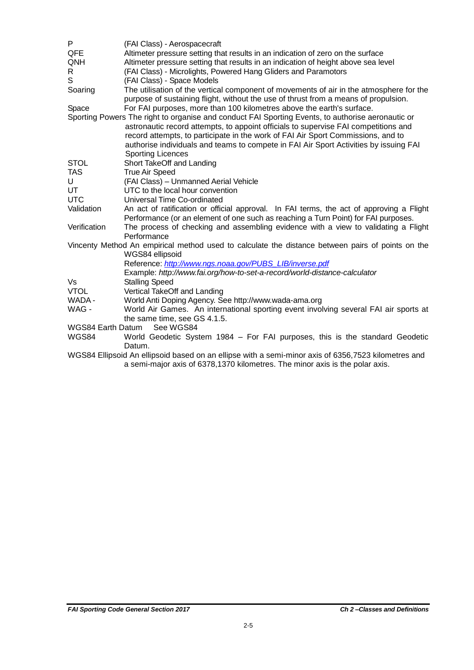| P                 | (FAI Class) - Aerospacecraft                                                                                                                                                                                                                                                                 |
|-------------------|----------------------------------------------------------------------------------------------------------------------------------------------------------------------------------------------------------------------------------------------------------------------------------------------|
| QFE               | Altimeter pressure setting that results in an indication of zero on the surface                                                                                                                                                                                                              |
| QNH               | Altimeter pressure setting that results in an indication of height above sea level                                                                                                                                                                                                           |
| R                 | (FAI Class) - Microlights, Powered Hang Gliders and Paramotors                                                                                                                                                                                                                               |
| S                 | (FAI Class) - Space Models                                                                                                                                                                                                                                                                   |
| Soaring           | The utilisation of the vertical component of movements of air in the atmosphere for the<br>purpose of sustaining flight, without the use of thrust from a means of propulsion.                                                                                                               |
| Space             | For FAI purposes, more than 100 kilometres above the earth's surface.                                                                                                                                                                                                                        |
|                   | Sporting Powers The right to organise and conduct FAI Sporting Events, to authorise aeronautic or                                                                                                                                                                                            |
|                   | astronautic record attempts, to appoint officials to supervise FAI competitions and<br>record attempts, to participate in the work of FAI Air Sport Commissions, and to<br>authorise individuals and teams to compete in FAI Air Sport Activities by issuing FAI<br><b>Sporting Licences</b> |
| <b>STOL</b>       | Short TakeOff and Landing                                                                                                                                                                                                                                                                    |
| <b>TAS</b>        | <b>True Air Speed</b>                                                                                                                                                                                                                                                                        |
| U                 | (FAI Class) - Unmanned Aerial Vehicle                                                                                                                                                                                                                                                        |
| UT                | UTC to the local hour convention                                                                                                                                                                                                                                                             |
| <b>UTC</b>        | Universal Time Co-ordinated                                                                                                                                                                                                                                                                  |
| Validation        | An act of ratification or official approval. In FAI terms, the act of approving a Flight<br>Performance (or an element of one such as reaching a Turn Point) for FAI purposes.                                                                                                               |
| Verification      | The process of checking and assembling evidence with a view to validating a Flight<br>Performance                                                                                                                                                                                            |
|                   | Vincenty Method An empirical method used to calculate the distance between pairs of points on the<br>WGS84 ellipsoid                                                                                                                                                                         |
|                   | Reference: http://www.ngs.noaa.gov/PUBS_LIB/inverse.pdf                                                                                                                                                                                                                                      |
|                   | Example: http://www.fai.org/how-to-set-a-record/world-distance-calculator                                                                                                                                                                                                                    |
| Vs                | <b>Stalling Speed</b>                                                                                                                                                                                                                                                                        |
| <b>VTOL</b>       | Vertical TakeOff and Landing                                                                                                                                                                                                                                                                 |
| WADA -            | World Anti Doping Agency. See http://www.wada-ama.org                                                                                                                                                                                                                                        |
| WAG -             | World Air Games. An international sporting event involving several FAI air sports at<br>the same time, see GS 4.1.5.                                                                                                                                                                         |
| WGS84 Earth Datum | See WGS84                                                                                                                                                                                                                                                                                    |
| WGS84             | World Geodetic System 1984 - For FAI purposes, this is the standard Geodetic<br>Datum.                                                                                                                                                                                                       |
|                   | WGS84 Ellipsoid An ellipsoid based on an ellipse with a semi-minor axis of 6356,7523 kilometres and<br>a semi-major axis of 6378,1370 kilometres. The minor axis is the polar axis.                                                                                                          |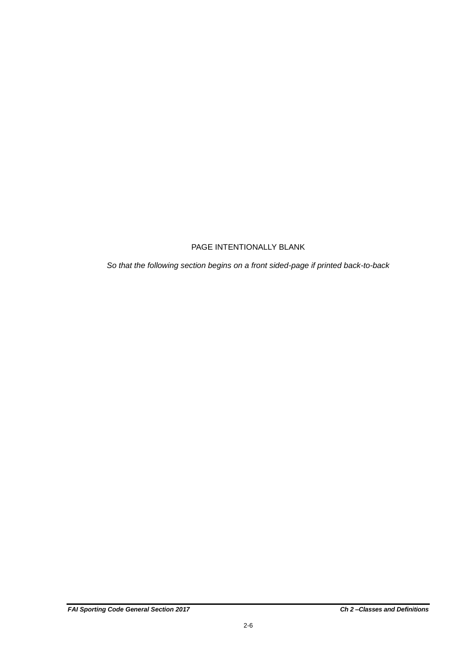### PAGE INTENTIONALLY BLANK

*So that the following section begins on a front sided-page if printed back-to-back*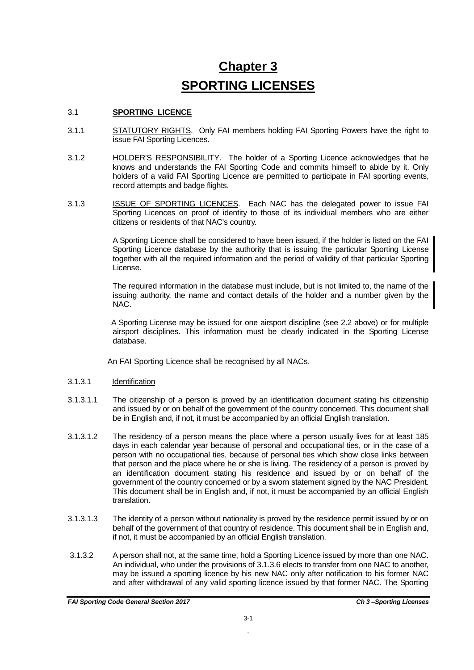# **Chapter 3 SPORTING LICENSES**

#### 3.1 **SPORTING LICENCE**

- 3.1.1 STATUTORY RIGHTS. Only FAI members holding FAI Sporting Powers have the right to issue FAI Sporting Licences.
- 3.1.2 HOLDER'S RESPONSIBILITY. The holder of a Sporting Licence acknowledges that he knows and understands the FAI Sporting Code and commits himself to abide by it. Only holders of a valid FAI Sporting Licence are permitted to participate in FAI sporting events, record attempts and badge flights.
- 3.1.3 **ISSUE OF SPORTING LICENCES**. Each NAC has the delegated power to issue FAI Sporting Licences on proof of identity to those of its individual members who are either citizens or residents of that NAC's country.

A Sporting Licence shall be considered to have been issued, if the holder is listed on the FAI Sporting Licence database by the authority that is issuing the particular Sporting License together with all the required information and the period of validity of that particular Sporting License.

The required information in the database must include, but is not limited to, the name of the issuing authority, the name and contact details of the holder and a number given by the NAC.

 A Sporting License may be issued for one airsport discipline (see 2.2 above) or for multiple airsport disciplines. This information must be clearly indicated in the Sporting License database.

An FAI Sporting Licence shall be recognised by all NACs.

#### 3.1.3.1 Identification

- 3.1.3.1.1 The citizenship of a person is proved by an identification document stating his citizenship and issued by or on behalf of the government of the country concerned. This document shall be in English and, if not, it must be accompanied by an official English translation.
- 3.1.3.1.2 The residency of a person means the place where a person usually lives for at least 185 days in each calendar year because of personal and occupational ties, or in the case of a person with no occupational ties, because of personal ties which show close links between that person and the place where he or she is living. The residency of a person is proved by an identification document stating his residence and issued by or on behalf of the government of the country concerned or by a sworn statement signed by the NAC President. This document shall be in English and, if not, it must be accompanied by an official English translation.
- 3.1.3.1.3 The identity of a person without nationality is proved by the residence permit issued by or on behalf of the government of that country of residence. This document shall be in English and, if not, it must be accompanied by an official English translation.
- 3.1.3.2 A person shall not, at the same time, hold a Sporting Licence issued by more than one NAC. An individual, who under the provisions of 3.1.3.6 elects to transfer from one NAC to another, may be issued a sporting licence by his new NAC only after notification to his former NAC and after withdrawal of any valid sporting licence issued by that former NAC. The Sporting

`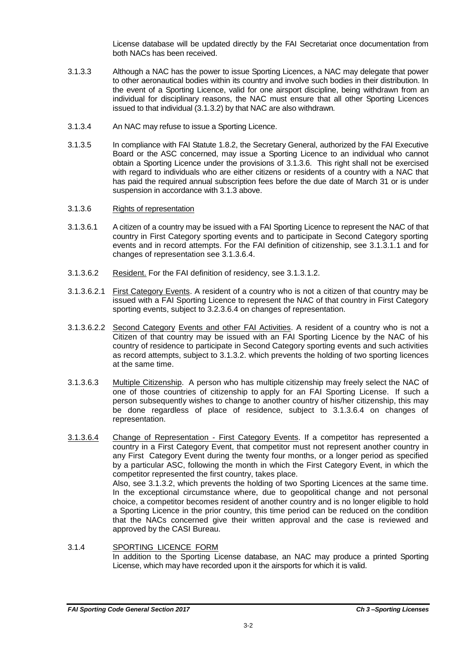License database will be updated directly by the FAI Secretariat once documentation from both NACs has been received.

- 3.1.3.3 Although a NAC has the power to issue Sporting Licences, a NAC may delegate that power to other aeronautical bodies within its country and involve such bodies in their distribution. In the event of a Sporting Licence, valid for one airsport discipline, being withdrawn from an individual for disciplinary reasons, the NAC must ensure that all other Sporting Licences issued to that individual (3.1.3.2) by that NAC are also withdrawn*.*
- 3.1.3.4 An NAC may refuse to issue a Sporting Licence.
- 3.1.3.5 In compliance with FAI Statute 1.8.2, the Secretary General, authorized by the FAI Executive Board or the ASC concerned, may issue a Sporting Licence to an individual who cannot obtain a Sporting Licence under the provisions of 3.1.3.6. This right shall not be exercised with regard to individuals who are either citizens or residents of a country with a NAC that has paid the required annual subscription fees before the due date of March 31 or is under suspension in accordance with 3.1.3 above.
- 3.1.3.6 Rights of representation
- 3.1.3.6.1 A citizen of a country may be issued with a FAI Sporting Licence to represent the NAC of that country in First Category sporting events and to participate in Second Category sporting events and in record attempts. For the FAI definition of citizenship, see 3.1.3.1.1 and for changes of representation see 3.1.3.6.4.
- 3.1.3.6.2 Resident. For the FAI definition of residency, see 3.1.3.1.2.
- 3.1.3.6.2.1 First Category Events. A resident of a country who is not a citizen of that country may be issued with a FAI Sporting Licence to represent the NAC of that country in First Category sporting events, subject to 3.2.3.6.4 on changes of representation.
- 3.1.3.6.2.2 Second Category Events and other FAI Activities. A resident of a country who is not a Citizen of that country may be issued with an FAI Sporting Licence by the NAC of his country of residence to participate in Second Category sporting events and such activities as record attempts, subject to 3.1.3.2. which prevents the holding of two sporting licences at the same time.
- 3.1.3.6.3 Multiple Citizenship. A person who has multiple citizenship may freely select the NAC of one of those countries of citizenship to apply for an FAI Sporting License. If such a person subsequently wishes to change to another country of his/her citizenship, this may be done regardless of place of residence, subject to 3.1.3.6.4 on changes of representation.
- 3.1.3.6.4 Change of Representation First Category Events. If a competitor has represented a country in a First Category Event, that competitor must not represent another country in any First Category Event during the twenty four months, or a longer period as specified by a particular ASC, following the month in which the First Category Event, in which the competitor represented the first country, takes place. Also, see 3.1.3.2, which prevents the holding of two Sporting Licences at the same time. In the exceptional circumstance where, due to geopolitical change and not personal choice, a competitor becomes resident of another country and is no longer eligible to hold a Sporting Licence in the prior country, this time period can be reduced on the condition that the NACs concerned give their written approval and the case is reviewed and approved by the CASI Bureau.
- 3.1.4 SPORTING LICENCE FORM In addition to the Sporting License database, an NAC may produce a printed Sporting License, which may have recorded upon it the airsports for which it is valid.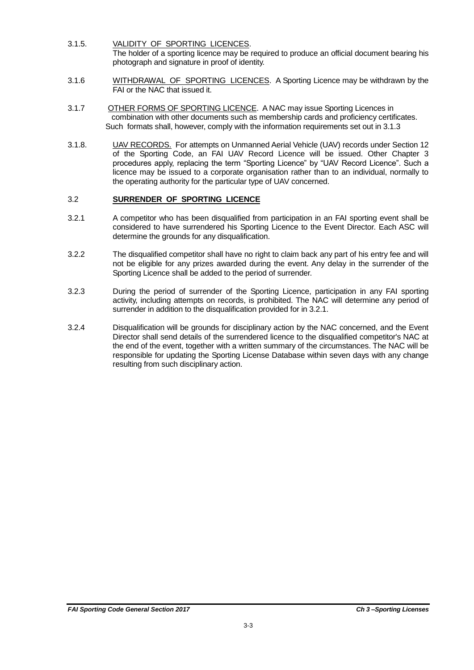- 3.1.5. VALIDITY OF SPORTING LICENCES. The holder of a sporting licence may be required to produce an official document bearing his photograph and signature in proof of identity.
- 3.1.6 WITHDRAWAL OF SPORTING LICENCES. A Sporting Licence may be withdrawn by the FAI or the NAC that issued it.
- 3.1.7 OTHER FORMS OF SPORTING LICENCE. A NAC may issue Sporting Licences in combination with other documents such as membership cards and proficiency certificates. Such formats shall, however, comply with the information requirements set out in 3.1.3
- 3.1.8. UAV RECORDS. For attempts on Unmanned Aerial Vehicle (UAV) records under Section 12 of the Sporting Code, an FAI UAV Record Licence will be issued. Other Chapter 3 procedures apply, replacing the term "Sporting Licence" by "UAV Record Licence". Such a licence may be issued to a corporate organisation rather than to an individual, normally to the operating authority for the particular type of UAV concerned.

#### 3.2 **SURRENDER OF SPORTING LICENCE**

- 3.2.1 A competitor who has been disqualified from participation in an FAI sporting event shall be considered to have surrendered his Sporting Licence to the Event Director. Each ASC will determine the grounds for any disqualification.
- 3.2.2 The disqualified competitor shall have no right to claim back any part of his entry fee and will not be eligible for any prizes awarded during the event. Any delay in the surrender of the Sporting Licence shall be added to the period of surrender.
- 3.2.3 During the period of surrender of the Sporting Licence, participation in any FAI sporting activity, including attempts on records, is prohibited. The NAC will determine any period of surrender in addition to the disqualification provided for in 3.2.1.
- 3.2.4 Disqualification will be grounds for disciplinary action by the NAC concerned, and the Event Director shall send details of the surrendered licence to the disqualified competitor's NAC at the end of the event, together with a written summary of the circumstances. The NAC will be responsible for updating the Sporting License Database within seven days with any change resulting from such disciplinary action.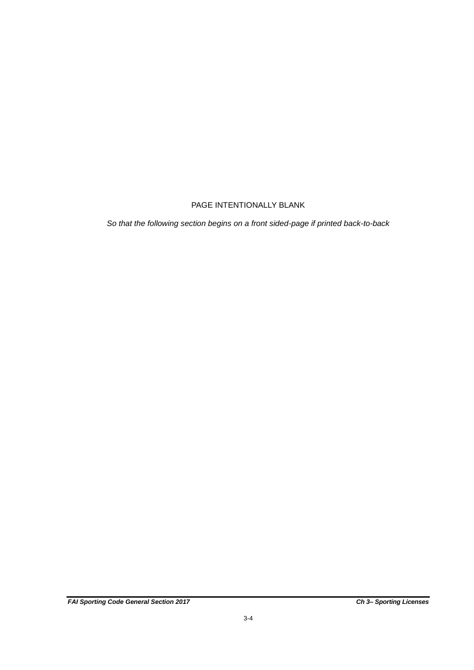### PAGE INTENTIONALLY BLANK

*So that the following section begins on a front sided-page if printed back-to-back*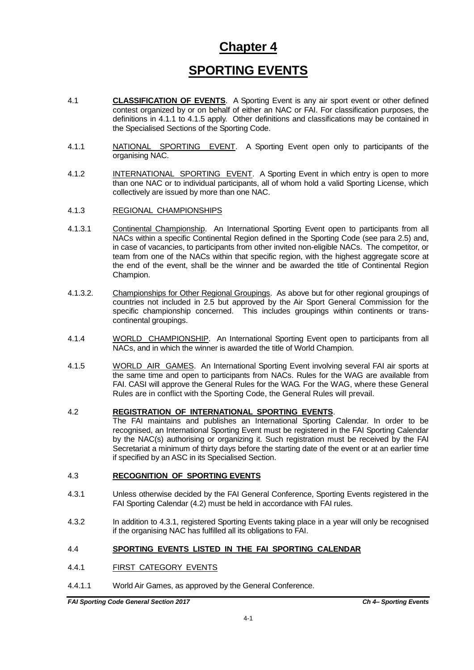### **Chapter 4**

### **SPORTING EVENTS**

- 4.1 **CLASSIFICATION OF EVENTS**. A Sporting Event is any air sport event or other defined contest organized by or on behalf of either an NAC or FAI. For classification purposes, the definitions in 4.1.1 to 4.1.5 apply. Other definitions and classifications may be contained in the Specialised Sections of the Sporting Code.
- 4.1.1 NATIONAL SPORTING EVENT. A Sporting Event open only to participants of the organising NAC.
- 4.1.2 INTERNATIONAL SPORTING EVENT. A Sporting Event in which entry is open to more than one NAC or to individual participants, all of whom hold a valid Sporting License, which collectively are issued by more than one NAC.
- 4.1.3 REGIONAL CHAMPIONSHIPS
- 4.1.3.1 Continental Championship. An International Sporting Event open to participants from all NACs within a specific Continental Region defined in the Sporting Code (see para 2.5) and, in case of vacancies, to participants from other invited non-eligible NACs. The competitor, or team from one of the NACs within that specific region, with the highest aggregate score at the end of the event, shall be the winner and be awarded the title of Continental Region Champion.
- 4.1.3.2. Championships for Other Regional Groupings. As above but for other regional groupings of countries not included in 2.5 but approved by the Air Sport General Commission for the specific championship concerned. This includes groupings within continents or transcontinental groupings.
- 4.1.4 WORLD CHAMPIONSHIP. An International Sporting Event open to participants from all NACs, and in which the winner is awarded the title of World Champion.
- 4.1.5 WORLD AIR GAMES. An International Sporting Event involving several FAI air sports at the same time and open to participants from NACs. Rules for the WAG are available from FAI. CASI will approve the General Rules for the WAG. For the WAG, where these General Rules are in conflict with the Sporting Code, the General Rules will prevail.

#### 4.2 **REGISTRATION OF INTERNATIONAL SPORTING EVENTS**.

The FAI maintains and publishes an International Sporting Calendar. In order to be recognised, an International Sporting Event must be registered in the FAI Sporting Calendar by the NAC(s) authorising or organizing it. Such registration must be received by the FAI Secretariat a minimum of thirty days before the starting date of the event or at an earlier time if specified by an ASC in its Specialised Section.

#### 4.3 **RECOGNITION OF SPORTING EVENTS**

- 4.3.1 Unless otherwise decided by the FAI General Conference, Sporting Events registered in the FAI Sporting Calendar (4.2) must be held in accordance with FAI rules.
- 4.3.2 In addition to 4.3.1, registered Sporting Events taking place in a year will only be recognised if the organising NAC has fulfilled all its obligations to FAI.

#### 4.4 **SPORTING EVENTS LISTED IN THE FAI SPORTING CALENDAR**

- 4.4.1 FIRST CATEGORY EVENTS
- 4.4.1.1 World Air Games, as approved by the General Conference.

*FAI Sporting Code General Section 2017 Ch 4– Sporting Events*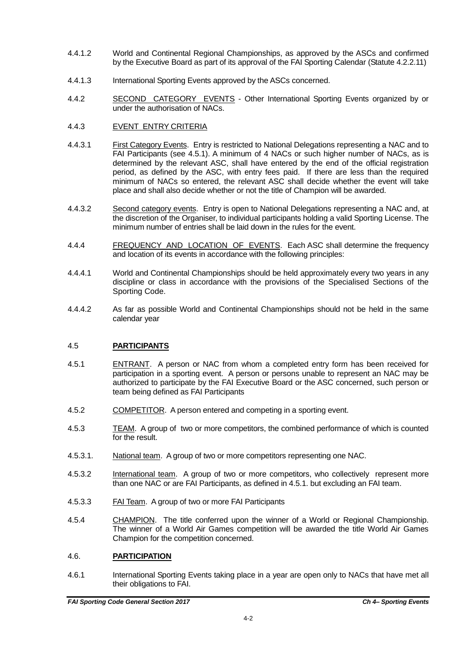- 4.4.1.2 World and Continental Regional Championships, as approved by the ASCs and confirmed by the Executive Board as part of its approval of the FAI Sporting Calendar (Statute 4.2.2.11)
- 4.4.1.3 International Sporting Events approved by the ASCs concerned.
- 4.4.2 SECOND CATEGORY EVENTS Other International Sporting Events organized by or under the authorisation of NACs.
- 4.4.3 EVENT ENTRY CRITERIA
- 4.4.3.1 First Category Events. Entry is restricted to National Delegations representing a NAC and to FAI Participants (see 4.5.1). A minimum of 4 NACs or such higher number of NACs, as is determined by the relevant ASC, shall have entered by the end of the official registration period, as defined by the ASC, with entry fees paid. If there are less than the required minimum of NACs so entered, the relevant ASC shall decide whether the event will take place and shall also decide whether or not the title of Champion will be awarded.
- 4.4.3.2 Second category events. Entry is open to National Delegations representing a NAC and, at the discretion of the Organiser, to individual participants holding a valid Sporting License. The minimum number of entries shall be laid down in the rules for the event.
- 4.4.4 FREQUENCY AND LOCATION OF EVENTS. Each ASC shall determine the frequency and location of its events in accordance with the following principles:
- 4.4.4.1 World and Continental Championships should be held approximately every two years in any discipline or class in accordance with the provisions of the Specialised Sections of the Sporting Code.
- 4.4.4.2 As far as possible World and Continental Championships should not be held in the same calendar year

#### 4.5 **PARTICIPANTS**

- 4.5.1 ENTRANT. A person or NAC from whom a completed entry form has been received for participation in a sporting event. A person or persons unable to represent an NAC may be authorized to participate by the FAI Executive Board or the ASC concerned, such person or team being defined as FAI Participants
- 4.5.2 COMPETITOR. A person entered and competing in a sporting event.
- 4.5.3 TEAM. A group of two or more competitors, the combined performance of which is counted for the result.
- 4.5.3.1. National team. A group of two or more competitors representing one NAC.
- 4.5.3.2 International team. A group of two or more competitors, who collectively represent more than one NAC or are FAI Participants, as defined in 4.5.1. but excluding an FAI team.
- 4.5.3.3 FAI Team. A group of two or more FAI Participants
- 4.5.4 CHAMPION. The title conferred upon the winner of a World or Regional Championship. The winner of a World Air Games competition will be awarded the title World Air Games Champion for the competition concerned.

#### 4.6. **PARTICIPATION**

4.6.1 International Sporting Events taking place in a year are open only to NACs that have met all their obligations to FAI.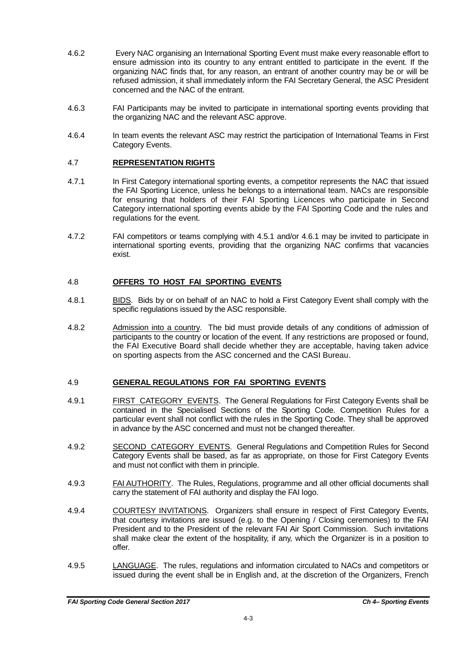- 4.6.2 Every NAC organising an International Sporting Event must make every reasonable effort to ensure admission into its country to any entrant entitled to participate in the event. If the organizing NAC finds that, for any reason, an entrant of another country may be or will be refused admission, it shall immediately inform the FAI Secretary General, the ASC President concerned and the NAC of the entrant.
- 4.6.3 FAI Participants may be invited to participate in international sporting events providing that the organizing NAC and the relevant ASC approve.
- 4.6.4 In team events the relevant ASC may restrict the participation of International Teams in First Category Events.

#### 4.7 **REPRESENTATION RIGHTS**

- 4.7.1 In First Category international sporting events, a competitor represents the NAC that issued the FAI Sporting Licence, unless he belongs to a international team. NACs are responsible for ensuring that holders of their FAI Sporting Licences who participate in Second Category international sporting events abide by the FAI Sporting Code and the rules and regulations for the event.
- 4.7.2 FAI competitors or teams complying with 4.5.1 and/or 4.6.1 may be invited to participate in international sporting events, providing that the organizing NAC confirms that vacancies exist.

#### 4.8 **OFFERS TO HOST FAI SPORTING EVENTS**

- 4.8.1 BIDS. Bids by or on behalf of an NAC to hold a First Category Event shall comply with the specific regulations issued by the ASC responsible.
- 4.8.2 Admission into a country. The bid must provide details of any conditions of admission of participants to the country or location of the event. If any restrictions are proposed or found, the FAI Executive Board shall decide whether they are acceptable, having taken advice on sporting aspects from the ASC concerned and the CASI Bureau.

#### 4.9 **GENERAL REGULATIONS FOR FAI SPORTING EVENTS**

- 4.9.1 FIRST CATEGORY EVENTS. The General Regulations for First Category Events shall be contained in the Specialised Sections of the Sporting Code. Competition Rules for a particular event shall not conflict with the rules in the Sporting Code. They shall be approved in advance by the ASC concerned and must not be changed thereafter.
- 4.9.2 SECOND CATEGORY EVENTS. General Regulations and Competition Rules for Second Category Events shall be based, as far as appropriate, on those for First Category Events and must not conflict with them in principle.
- 4.9.3 FAI AUTHORITY. The Rules, Regulations, programme and all other official documents shall carry the statement of FAI authority and display the FAI logo.
- 4.9.4 COURTESY INVITATIONS. Organizers shall ensure in respect of First Category Events, that courtesy invitations are issued (e.g. to the Opening / Closing ceremonies) to the FAI President and to the President of the relevant FAI Air Sport Commission. Such invitations shall make clear the extent of the hospitality, if any, which the Organizer is in a position to offer.
- 4.9.5 LANGUAGE. The rules, regulations and information circulated to NACs and competitors or issued during the event shall be in English and, at the discretion of the Organizers, French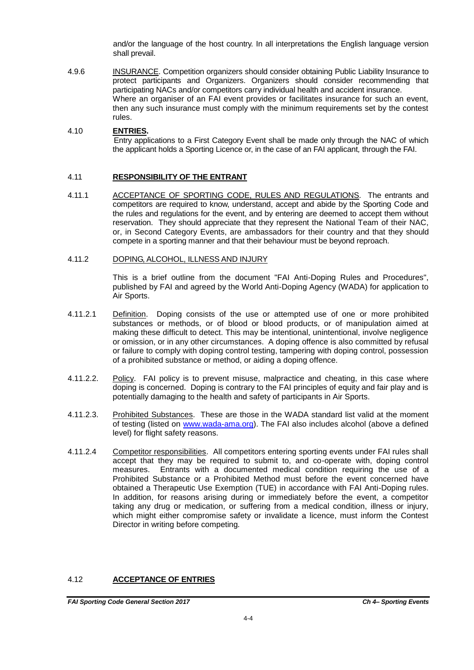and/or the language of the host country. In all interpretations the English language version shall prevail.

4.9.6 INSURANCE. Competition organizers should consider obtaining Public Liability Insurance to protect participants and Organizers. Organizers should consider recommending that participating NACs and/or competitors carry individual health and accident insurance. Where an organiser of an FAI event provides or facilitates insurance for such an event, then any such insurance must comply with the minimum requirements set by the contest rules.

#### 4.10 **ENTRIES.**

 Entry applications to a First Category Event shall be made only through the NAC of which the applicant holds a Sporting Licence or, in the case of an FAI applicant*,* through the FAI.

#### 4.11 **RESPONSIBILITY OF THE ENTRANT**

4.11.1 ACCEPTANCE OF SPORTING CODE, RULES AND REGULATIONS. The entrants and competitors are required to know, understand, accept and abide by the Sporting Code and the rules and regulations for the event, and by entering are deemed to accept them without reservation. They should appreciate that they represent the National Team of their NAC, or, in Second Category Events, are ambassadors for their country and that they should compete in a sporting manner and that their behaviour must be beyond reproach.

#### 4.11.2 DOPING, ALCOHOL, ILLNESS AND INJURY

This is a brief outline from the document "FAI Anti-Doping Rules and Procedures", published by FAI and agreed by the World Anti-Doping Agency (WADA) for application to Air Sports.

- 4.11.2.1 Definition. Doping consists of the use or attempted use of one or more prohibited substances or methods, or of blood or blood products, or of manipulation aimed at making these difficult to detect. This may be intentional, unintentional, involve negligence or omission, or in any other circumstances. A doping offence is also committed by refusal or failure to comply with doping control testing, tampering with doping control, possession of a prohibited substance or method, or aiding a doping offence.
- 4.11.2.2. Policy. FAI policy is to prevent misuse, malpractice and cheating, in this case where doping is concerned. Doping is contrary to the FAI principles of equity and fair play and is potentially damaging to the health and safety of participants in Air Sports.
- 4.11.2.3. Prohibited Substances. These are those in the WADA standard list valid at the moment of testing (listed on [www.wada-ama.org\)](http://www.wada-ama.org/). The FAI also includes alcohol (above a defined level) for flight safety reasons.
- 4.11.2.4 Competitor responsibilities. All competitors entering sporting events under FAI rules shall accept that they may be required to submit to, and co-operate with, doping control measures. Entrants with a documented medical condition requiring the use of a Prohibited Substance or a Prohibited Method must before the event concerned have obtained a Therapeutic Use Exemption (TUE) in accordance with FAI Anti-Doping rules. In addition, for reasons arising during or immediately before the event, a competitor taking any drug or medication, or suffering from a medical condition, illness or injury, which might either compromise safety or invalidate a licence, must inform the Contest Director in writing before competing*.*

#### 4.12 **ACCEPTANCE OF ENTRIES**

*FAI Sporting Code General Section 2017 Ch 4– Sporting Events*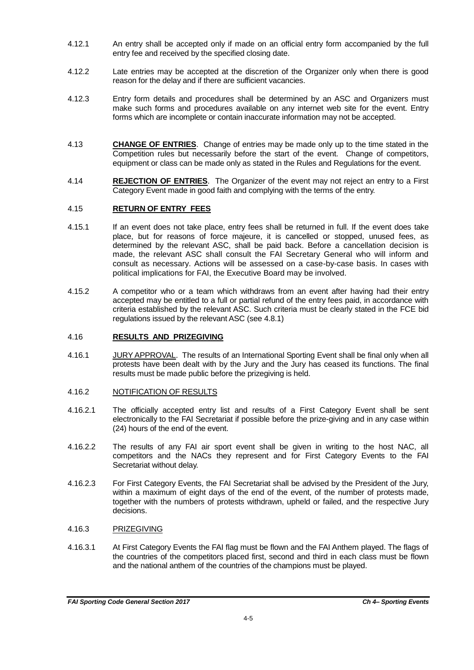- 4.12.1 An entry shall be accepted only if made on an official entry form accompanied by the full entry fee and received by the specified closing date.
- 4.12.2 Late entries may be accepted at the discretion of the Organizer only when there is good reason for the delay and if there are sufficient vacancies.
- 4.12.3 Entry form details and procedures shall be determined by an ASC and Organizers must make such forms and procedures available on any internet web site for the event. Entry forms which are incomplete or contain inaccurate information may not be accepted.
- 4.13 **CHANGE OF ENTRIES**. Change of entries may be made only up to the time stated in the Competition rules but necessarily before the start of the event. Change of competitors, equipment or class can be made only as stated in the Rules and Regulations for the event.
- 4.14 **REJECTION OF ENTRIES**. The Organizer of the event may not reject an entry to a First Category Event made in good faith and complying with the terms of the entry.

#### 4.15 **RETURN OF ENTRY FEES**

- 4.15.1 If an event does not take place, entry fees shall be returned in full. If the event does take place, but for reasons of force majeure, it is cancelled or stopped, unused fees, as determined by the relevant ASC, shall be paid back. Before a cancellation decision is made, the relevant ASC shall consult the FAI Secretary General who will inform and consult as necessary. Actions will be assessed on a case-by-case basis. In cases with political implications for FAI, the Executive Board may be involved.
- 4.15.2 A competitor who or a team which withdraws from an event after having had their entry accepted may be entitled to a full or partial refund of the entry fees paid, in accordance with criteria established by the relevant ASC. Such criteria must be clearly stated in the FCE bid regulations issued by the relevant ASC (see 4.8.1)

#### 4.16 **RESULTS AND PRIZEGIVING**

4.16.1 JURY APPROVAL. The results of an International Sporting Event shall be final only when all protests have been dealt with by the Jury and the Jury has ceased its functions. The final results must be made public before the prizegiving is held.

#### 4.16.2 NOTIFICATION OF RESULTS

- 4.16.2.1 The officially accepted entry list and results of a First Category Event shall be sent electronically to the FAI Secretariat if possible before the prize-giving and in any case within (24) hours of the end of the event.
- 4.16.2.2 The results of any FAI air sport event shall be given in writing to the host NAC, all competitors and the NACs they represent and for First Category Events to the FAI Secretariat without delay.
- 4.16.2.3 For First Category Events, the FAI Secretariat shall be advised by the President of the Jury, within a maximum of eight days of the end of the event, of the number of protests made, together with the numbers of protests withdrawn, upheld or failed, and the respective Jury decisions.

#### 4.16.3 PRIZEGIVING

4.16.3.1 At First Category Events the FAI flag must be flown and the FAI Anthem played. The flags of the countries of the competitors placed first, second and third in each class must be flown and the national anthem of the countries of the champions must be played.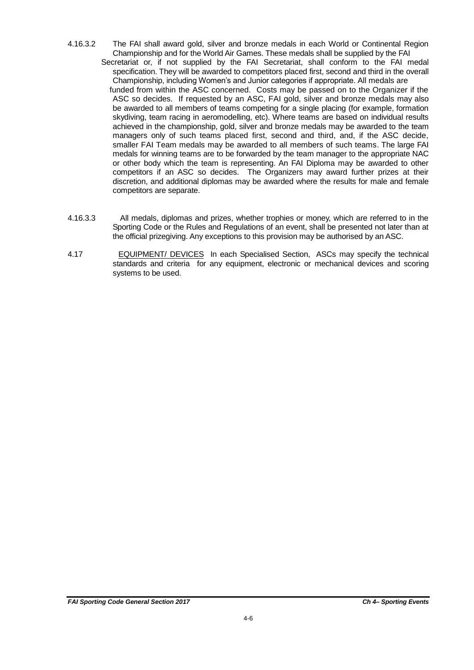- 4.16.3.2 The FAI shall award gold, silver and bronze medals in each World or Continental Region Championship and for the World Air Games. These medals shall be supplied by the FAI Secretariat or, if not supplied by the FAI Secretariat, shall conform to the FAI medal specification. They will be awarded to competitors placed first, second and third in the overall Championship, including Women's and Junior categories if appropriate. All medals are funded from within the ASC concerned. Costs may be passed on to the Organizer if the ASC so decides. If requested by an ASC, FAI gold, silver and bronze medals may also be awarded to all members of teams competing for a single placing (for example, formation skydiving, team racing in aeromodelling, etc). Where teams are based on individual results achieved in the championship, gold, silver and bronze medals may be awarded to the team managers only of such teams placed first, second and third, and, if the ASC decide, smaller FAI Team medals may be awarded to all members of such teams. The large FAI medals for winning teams are to be forwarded by the team manager to the appropriate NAC or other body which the team is representing. An FAI Diploma may be awarded to other competitors if an ASC so decides. The Organizers may award further prizes at their discretion, and additional diplomas may be awarded where the results for male and female competitors are separate.
- 4.16.3.3 All medals, diplomas and prizes, whether trophies or money, which are referred to in the Sporting Code or the Rules and Regulations of an event, shall be presented not later than at the official prizegiving. Any exceptions to this provision may be authorised by an ASC.
- 4.17 EQUIPMENT/ DEVICES In each Specialised Section, ASCs may specify the technical standards and criteria for any equipment, electronic or mechanical devices and scoring systems to be used.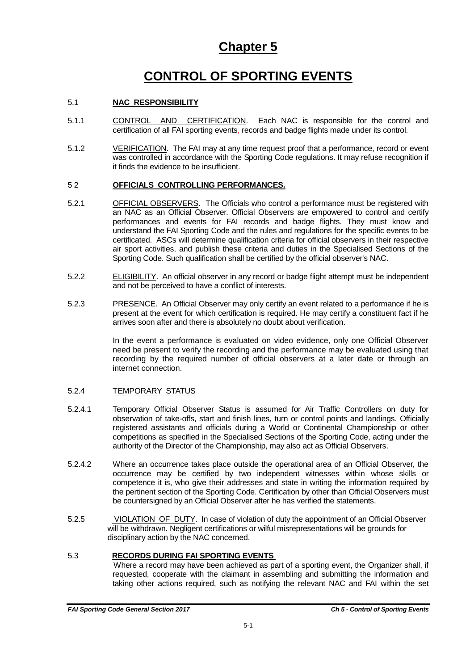### **Chapter 5**

# **CONTROL OF SPORTING EVENTS**

#### 5.1 **NAC RESPONSIBILITY**

- 5.1.1 CONTROL AND CERTIFICATION. Each NAC is responsible for the control and certification of all FAI sporting events, records and badge flights made under its control.
- 5.1.2 VERIFICATION. The FAI may at any time request proof that a performance, record or event was controlled in accordance with the Sporting Code regulations. It may refuse recognition if it finds the evidence to be insufficient.

#### 5 2 **OFFICIALS CONTROLLING PERFORMANCES.**

- 5.2.1 OFFICIAL OBSERVERS. The Officials who control a performance must be registered with an NAC as an Official Observer. Official Observers are empowered to control and certify performances and events for FAI records and badge flights. They must know and understand the FAI Sporting Code and the rules and regulations for the specific events to be certificated. ASCs will determine qualification criteria for official observers in their respective air sport activities, and publish these criteria and duties in the Specialised Sections of the Sporting Code. Such qualification shall be certified by the official observer's NAC.
- 5.2.2 ELIGIBILITY. An official observer in any record or badge flight attempt must be independent and not be perceived to have a conflict of interests.
- 5.2.3 PRESENCE. An Official Observer may only certify an event related to a performance if he is present at the event for which certification is required. He may certify a constituent fact if he arrives soon after and there is absolutely no doubt about verification.

In the event a performance is evaluated on video evidence, only one Official Observer need be present to verify the recording and the performance may be evaluated using that recording by the required number of official observers at a later date or through an internet connection.

#### 5.2.4 TEMPORARY STATUS

- 5.2.4.1 Temporary Official Observer Status is assumed for Air Traffic Controllers on duty for observation of take-offs, start and finish lines, turn or control points and landings. Officially registered assistants and officials during a World or Continental Championship or other competitions as specified in the Specialised Sections of the Sporting Code, acting under the authority of the Director of the Championship, may also act as Official Observers.
- 5.2.4.2 Where an occurrence takes place outside the operational area of an Official Observer, the occurrence may be certified by two independent witnesses within whose skills or competence it is, who give their addresses and state in writing the information required by the pertinent section of the Sporting Code. Certification by other than Official Observers must be countersigned by an Official Observer after he has verified the statements.
- 5.2.5 VIOLATION OF DUTY. In case of violation of duty the appointment of an Official Observer will be withdrawn. Negligent certifications or wilful misrepresentations will be grounds for disciplinary action by the NAC concerned.

#### 5.3 **RECORDS DURING FAI SPORTING EVENTS**

 Where a record may have been achieved as part of a sporting event, the Organizer shall, if requested, cooperate with the claimant in assembling and submitting the information and taking other actions required, such as notifying the relevant NAC and FAI within the set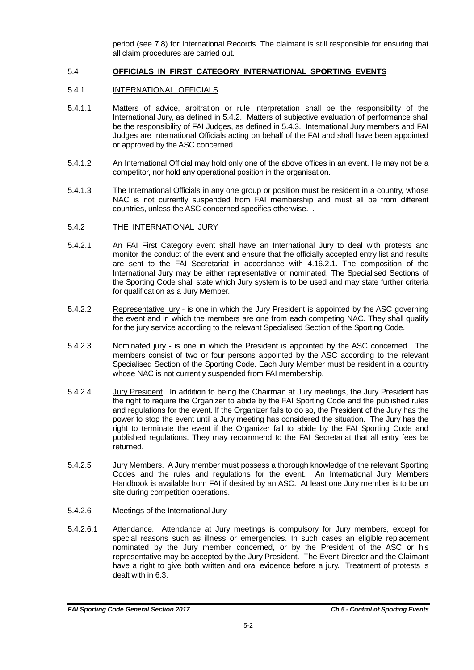period (see 7.8) for International Records. The claimant is still responsible for ensuring that all claim procedures are carried out.

#### 5.4 **OFFICIALS IN FIRST CATEGORY INTERNATIONAL SPORTING EVENTS**

#### 5.4.1 INTERNATIONAL OFFICIALS

- 5.4.1.1 Matters of advice, arbitration or rule interpretation shall be the responsibility of the International Jury, as defined in 5.4.2. Matters of subjective evaluation of performance shall be the responsibility of FAI Judges, as defined in 5.4.3. International Jury members and FAI Judges are International Officials acting on behalf of the FAI and shall have been appointed or approved by the ASC concerned.
- 5.4.1.2 An International Official may hold only one of the above offices in an event. He may not be a competitor, nor hold any operational position in the organisation.
- 5.4.1.3 The International Officials in any one group or position must be resident in a country, whose NAC is not currently suspended from FAI membership and must all be from different countries, unless the ASC concerned specifies otherwise. .
- 5.4.2 THE INTERNATIONAL JURY
- 5.4.2.1 An FAI First Category event shall have an International Jury to deal with protests and monitor the conduct of the event and ensure that the officially accepted entry list and results are sent to the FAI Secretariat in accordance with 4.16.2.1. The composition of the International Jury may be either representative or nominated. The Specialised Sections of the Sporting Code shall state which Jury system is to be used and may state further criteria for qualification as a Jury Member.
- 5.4.2.2 Representative jury is one in which the Jury President is appointed by the ASC governing the event and in which the members are one from each competing NAC. They shall qualify for the jury service according to the relevant Specialised Section of the Sporting Code.
- 5.4.2.3 Nominated jury is one in which the President is appointed by the ASC concerned. The members consist of two or four persons appointed by the ASC according to the relevant Specialised Section of the Sporting Code. Each Jury Member must be resident in a country whose NAC is not currently suspended from FAI membership.
- 5.4.2.4 Jury President. In addition to being the Chairman at Jury meetings, the Jury President has the right to require the Organizer to abide by the FAI Sporting Code and the published rules and regulations for the event. If the Organizer fails to do so, the President of the Jury has the power to stop the event until a Jury meeting has considered the situation. The Jury has the right to terminate the event if the Organizer fail to abide by the FAI Sporting Code and published regulations. They may recommend to the FAI Secretariat that all entry fees be returned.
- 5.4.2.5 Jury Members. A Jury member must possess a thorough knowledge of the relevant Sporting Codes and the rules and regulations for the event. An International Jury Members Handbook is available from FAI if desired by an ASC. At least one Jury member is to be on site during competition operations.
- 5.4.2.6 Meetings of the International Jury
- 5.4.2.6.1 Attendance. Attendance at Jury meetings is compulsory for Jury members, except for special reasons such as illness or emergencies. In such cases an eligible replacement nominated by the Jury member concerned, or by the President of the ASC or his representative may be accepted by the Jury President. The Event Director and the Claimant have a right to give both written and oral evidence before a jury. Treatment of protests is dealt with in 6.3.

*FAI Sporting Code General Section 2017 Ch 5 - Control of Sporting Events*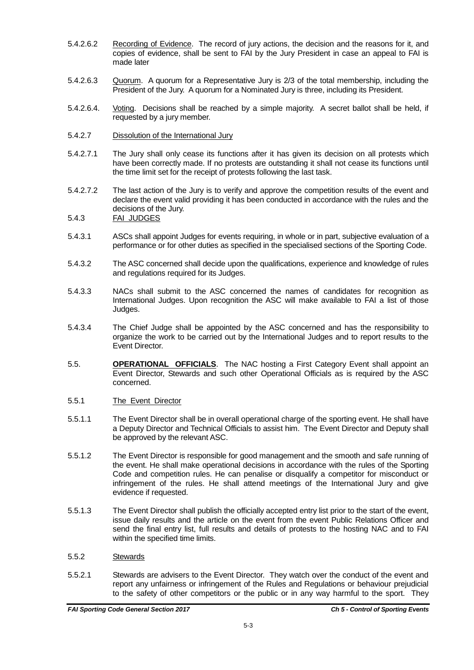- 5.4.2.6.2 Recording of Evidence. The record of jury actions, the decision and the reasons for it, and copies of evidence, shall be sent to FAI by the Jury President in case an appeal to FAI is made later
- 5.4.2.6.3 Quorum. A quorum for a Representative Jury is 2/3 of the total membership, including the President of the Jury. A quorum for a Nominated Jury is three, including its President.
- 5.4.2.6.4. Voting. Decisions shall be reached by a simple majority. A secret ballot shall be held, if requested by a jury member.
- 5.4.2.7 Dissolution of the International Jury
- 5.4.2.7.1 The Jury shall only cease its functions after it has given its decision on all protests which have been correctly made. If no protests are outstanding it shall not cease its functions until the time limit set for the receipt of protests following the last task.
- 5.4.2.7.2 The last action of the Jury is to verify and approve the competition results of the event and declare the event valid providing it has been conducted in accordance with the rules and the decisions of the Jury.

5.4.3 FAI JUDGES

- 5.4.3.1 ASCs shall appoint Judges for events requiring, in whole or in part, subjective evaluation of a performance or for other duties as specified in the specialised sections of the Sporting Code.
- 5.4.3.2 The ASC concerned shall decide upon the qualifications, experience and knowledge of rules and regulations required for its Judges.
- 5.4.3.3 NACs shall submit to the ASC concerned the names of candidates for recognition as International Judges. Upon recognition the ASC will make available to FAI a list of those Judges.
- 5.4.3.4 The Chief Judge shall be appointed by the ASC concerned and has the responsibility to organize the work to be carried out by the International Judges and to report results to the Event Director.
- 5.5. **OPERATIONAL OFFICIALS**. The NAC hosting a First Category Event shall appoint an Event Director, Stewards and such other Operational Officials as is required by the ASC concerned.
- 5.5.1 The Event Director
- 5.5.1.1 The Event Director shall be in overall operational charge of the sporting event. He shall have a Deputy Director and Technical Officials to assist him. The Event Director and Deputy shall be approved by the relevant ASC.
- 5.5.1.2 The Event Director is responsible for good management and the smooth and safe running of the event. He shall make operational decisions in accordance with the rules of the Sporting Code and competition rules. He can penalise or disqualify a competitor for misconduct or infringement of the rules. He shall attend meetings of the International Jury and give evidence if requested.
- 5.5.1.3 The Event Director shall publish the officially accepted entry list prior to the start of the event, issue daily results and the article on the event from the event Public Relations Officer and send the final entry list, full results and details of protests to the hosting NAC and to FAI within the specified time limits.
- 5.5.2 Stewards
- 5.5.2.1 Stewards are advisers to the Event Director. They watch over the conduct of the event and report any unfairness or infringement of the Rules and Regulations or behaviour prejudicial to the safety of other competitors or the public or in any way harmful to the sport. They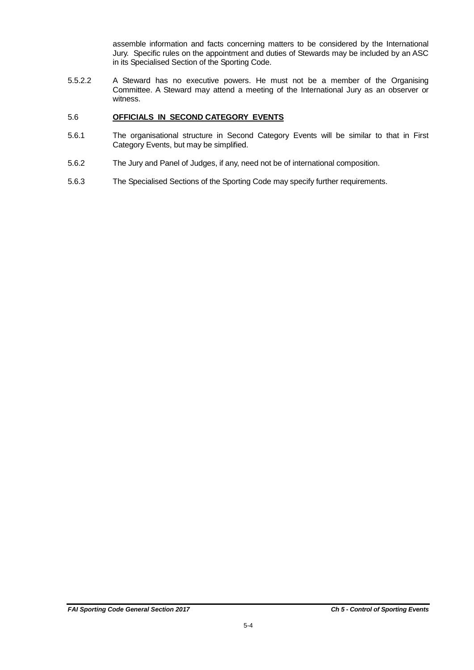assemble information and facts concerning matters to be considered by the International Jury. Specific rules on the appointment and duties of Stewards may be included by an ASC in its Specialised Section of the Sporting Code.

5.5.2.2 A Steward has no executive powers. He must not be a member of the Organising Committee. A Steward may attend a meeting of the International Jury as an observer or witness.

#### 5.6 **OFFICIALS IN SECOND CATEGORY EVENTS**

- 5.6.1 The organisational structure in Second Category Events will be similar to that in First Category Events, but may be simplified.
- 5.6.2 The Jury and Panel of Judges, if any, need not be of international composition.
- 5.6.3 The Specialised Sections of the Sporting Code may specify further requirements.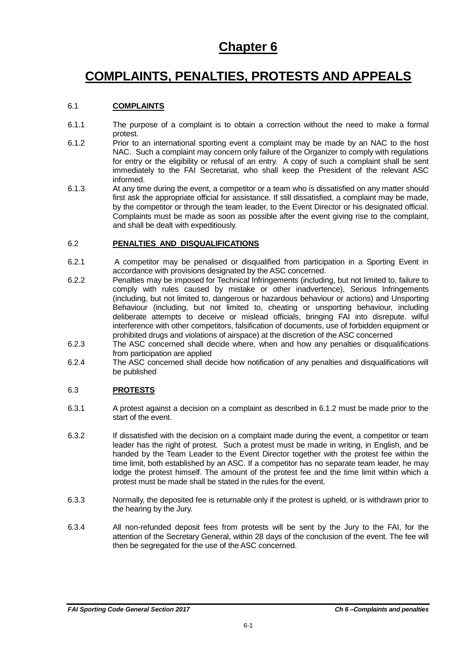### **Chapter 6**

# **COMPLAINTS, PENALTIES, PROTESTS AND APPEALS**

#### 6.1 **COMPLAINTS**

- 6.1.1 The purpose of a complaint is to obtain a correction without the need to make a formal protest.
- 6.1.2 Prior to an international sporting event a complaint may be made by an NAC to the host NAC. Such a complaint may concern only failure of the Organizer to comply with regulations for entry or the eligibility or refusal of an entry. A copy of such a complaint shall be sent immediately to the FAI Secretariat, who shall keep the President of the relevant ASC informed.
- 6.1.3 At any time during the event, a competitor or a team who is dissatisfied on any matter should first ask the appropriate official for assistance. If still dissatisfied, a complaint may be made, by the competitor or through the team leader, to the Event Director or his designated official. Complaints must be made as soon as possible after the event giving rise to the complaint, and shall be dealt with expeditiously.

#### 6.2 **PENALTIES AND DISQUALIFICATIONS**

- 6.2.1 A competitor may be penalised or disqualified from participation in a Sporting Event in accordance with provisions designated by the ASC concerned.
- 6.2.2 Penalties may be imposed for Technical Infringements (including, but not limited to, failure to comply with rules caused by mistake or other inadvertence), Serious Infringements (including, but not limited to, dangerous or hazardous behaviour or actions) and Unsporting Behaviour (including, but not limited to, cheating or unsporting behaviour, including deliberate attempts to deceive or mislead officials, bringing FAI into disrepute. wilful interference with other competitors, falsification of documents, use of forbidden equipment or prohibited drugs and violations of airspace) at the discretion of the ASC concerned
- 6.2.3 The ASC concerned shall decide where, when and how any penalties or disqualifications from participation are applied
- 6.2.4 The ASC concerned shall decide how notification of any penalties and disqualifications will be published

#### 6.3 **PROTESTS**

- 6.3.1 A protest against a decision on a complaint as described in 6.1.2 must be made prior to the start of the event.
- 6.3.2 If dissatisfied with the decision on a complaint made during the event, a competitor or team leader has the right of protest. Such a protest must be made in writing, in English, and be handed by the Team Leader to the Event Director together with the protest fee within the time limit, both established by an ASC. If a competitor has no separate team leader, he may lodge the protest himself. The amount of the protest fee and the time limit within which a protest must be made shall be stated in the rules for the event.
- 6.3.3 Normally, the deposited fee is returnable only if the protest is upheld, or is withdrawn prior to the hearing by the Jury.
- 6.3.4 All non-refunded deposit fees from protests will be sent by the Jury to the FAI, for the attention of the Secretary General, within 28 days of the conclusion of the event. The fee will then be segregated for the use of the ASC concerned.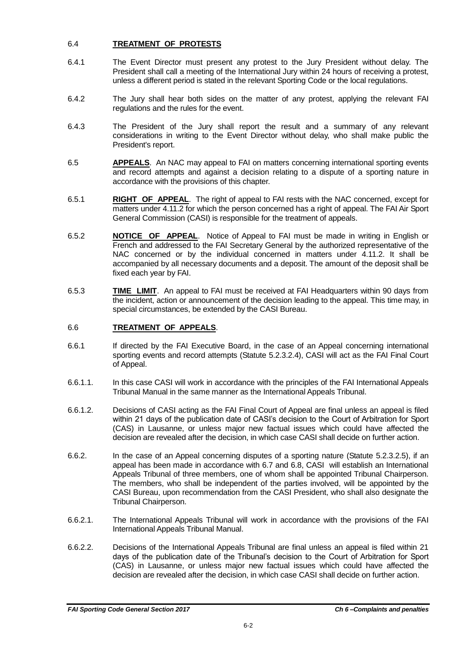#### 6.4 **TREATMENT OF PROTESTS**

- 6.4.1 The Event Director must present any protest to the Jury President without delay. The President shall call a meeting of the International Jury within 24 hours of receiving a protest, unless a different period is stated in the relevant Sporting Code or the local regulations.
- 6.4.2 The Jury shall hear both sides on the matter of any protest, applying the relevant FAI regulations and the rules for the event.
- 6.4.3 The President of the Jury shall report the result and a summary of any relevant considerations in writing to the Event Director without delay, who shall make public the President's report.
- 6.5 **APPEALS**. An NAC may appeal to FAI on matters concerning international sporting events and record attempts and against a decision relating to a dispute of a sporting nature in accordance with the provisions of this chapter.
- 6.5.1 **RIGHT OF APPEAL**. The right of appeal to FAI rests with the NAC concerned, except for matters under 4.11.2 for which the person concerned has a right of appeal. The FAI Air Sport General Commission (CASI) is responsible for the treatment of appeals.
- 6.5.2 **NOTICE OF APPEAL**. Notice of Appeal to FAI must be made in writing in English or French and addressed to the FAI Secretary General by the authorized representative of the NAC concerned or by the individual concerned in matters under 4.11.2. It shall be accompanied by all necessary documents and a deposit. The amount of the deposit shall be fixed each year by FAI.
- 6.5.3 **TIME LIMIT**. An appeal to FAI must be received at FAI Headquarters within 90 days from the incident, action or announcement of the decision leading to the appeal. This time may, in special circumstances, be extended by the CASI Bureau.

### 6.6 **TREATMENT OF APPEALS**.

- 6.6.1 If directed by the FAI Executive Board, in the case of an Appeal concerning international sporting events and record attempts (Statute 5.2.3.2.4), CASI will act as the FAI Final Court of Appeal.
- 6.6.1.1. In this case CASI will work in accordance with the principles of the FAI International Appeals Tribunal Manual in the same manner as the International Appeals Tribunal.
- 6.6.1.2. Decisions of CASI acting as the FAI Final Court of Appeal are final unless an appeal is filed within 21 days of the publication date of CASI's decision to the Court of Arbitration for Sport (CAS) in Lausanne, or unless major new factual issues which could have affected the decision are revealed after the decision, in which case CASI shall decide on further action.
- 6.6.2. In the case of an Appeal concerning disputes of a sporting nature (Statute 5.2.3.2.5), if an appeal has been made in accordance with 6.7 and 6.8, CASI will establish an International Appeals Tribunal of three members, one of whom shall be appointed Tribunal Chairperson. The members, who shall be independent of the parties involved, will be appointed by the CASI Bureau, upon recommendation from the CASI President, who shall also designate the Tribunal Chairperson.
- 6.6.2.1. The International Appeals Tribunal will work in accordance with the provisions of the FAI International Appeals Tribunal Manual.
- 6.6.2.2. Decisions of the International Appeals Tribunal are final unless an appeal is filed within 21 days of the publication date of the Tribunal's decision to the Court of Arbitration for Sport (CAS) in Lausanne, or unless major new factual issues which could have affected the decision are revealed after the decision, in which case CASI shall decide on further action.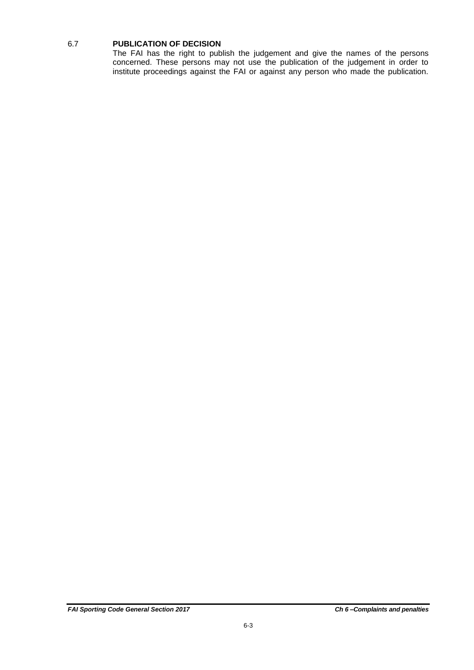#### 6.7 **PUBLICATION OF DECISION**

The FAI has the right to publish the judgement and give the names of the persons concerned. These persons may not use the publication of the judgement in order to institute proceedings against the FAI or against any person who made the publication.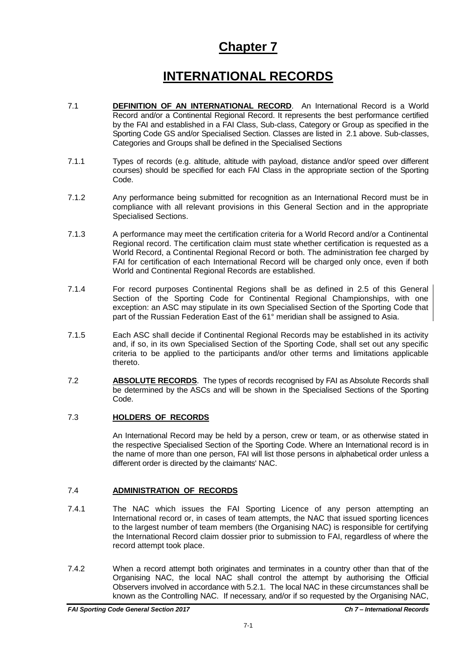### **Chapter 7**

# **INTERNATIONAL RECORDS**

- 7.1 **DEFINITION OF AN INTERNATIONAL RECORD**. An International Record is a World Record and/or a Continental Regional Record. It represents the best performance certified by the FAI and established in a FAI Class, Sub-class, Category or Group as specified in the Sporting Code GS and/or Specialised Section. Classes are listed in 2.1 above. Sub-classes, Categories and Groups shall be defined in the Specialised Sections
- 7.1.1 Types of records (e.g. altitude, altitude with payload, distance and/or speed over different courses) should be specified for each FAI Class in the appropriate section of the Sporting Code.
- 7.1.2 Any performance being submitted for recognition as an International Record must be in compliance with all relevant provisions in this General Section and in the appropriate Specialised Sections.
- 7.1.3 A performance may meet the certification criteria for a World Record and/or a Continental Regional record. The certification claim must state whether certification is requested as a World Record, a Continental Regional Record or both. The administration fee charged by FAI for certification of each International Record will be charged only once, even if both World and Continental Regional Records are established.
- 7.1.4 For record purposes Continental Regions shall be as defined in 2.5 of this General Section of the Sporting Code for Continental Regional Championships, with one exception: an ASC may stipulate in its own Specialised Section of the Sporting Code that part of the Russian Federation East of the 61° meridian shall be assigned to Asia.
- 7.1.5 Each ASC shall decide if Continental Regional Records may be established in its activity and, if so, in its own Specialised Section of the Sporting Code, shall set out any specific criteria to be applied to the participants and/or other terms and limitations applicable thereto.
- 7.2 **ABSOLUTE RECORDS**. The types of records recognised by FAI as Absolute Records shall be determined by the ASCs and will be shown in the Specialised Sections of the Sporting Code.

#### 7.3 **HOLDERS OF RECORDS**

An International Record may be held by a person, crew or team, or as otherwise stated in the respective Specialised Section of the Sporting Code. Where an International record is in the name of more than one person, FAI will list those persons in alphabetical order unless a different order is directed by the claimants' NAC.

#### 7.4 **ADMINISTRATION OF RECORDS**

- 7.4.1 The NAC which issues the FAI Sporting Licence of any person attempting an International record or, in cases of team attempts, the NAC that issued sporting licences to the largest number of team members (the Organising NAC) is responsible for certifying the International Record claim dossier prior to submission to FAI, regardless of where the record attempt took place.
- 7.4.2 When a record attempt both originates and terminates in a country other than that of the Organising NAC, the local NAC shall control the attempt by authorising the Official Observers involved in accordance with 5.2.1. The local NAC in these circumstances shall be known as the Controlling NAC. If necessary, and/or if so requested by the Organising NAC,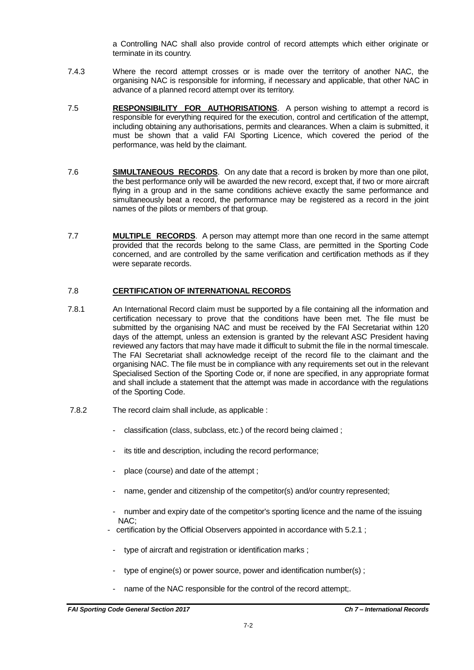a Controlling NAC shall also provide control of record attempts which either originate or terminate in its country.

- 7.4.3 Where the record attempt crosses or is made over the territory of another NAC, the organising NAC is responsible for informing, if necessary and applicable, that other NAC in advance of a planned record attempt over its territory.
- 7.5 **RESPONSIBILITY FOR AUTHORISATIONS**. A person wishing to attempt a record is responsible for everything required for the execution, control and certification of the attempt, including obtaining any authorisations, permits and clearances. When a claim is submitted, it must be shown that a valid FAI Sporting Licence, which covered the period of the performance, was held by the claimant.
- 7.6 **SIMULTANEOUS RECORDS**. On any date that a record is broken by more than one pilot, the best performance only will be awarded the new record, except that, if two or more aircraft flying in a group and in the same conditions achieve exactly the same performance and simultaneously beat a record, the performance may be registered as a record in the joint names of the pilots or members of that group.
- 7.7 **MULTIPLE RECORDS**. A person may attempt more than one record in the same attempt provided that the records belong to the same Class, are permitted in the Sporting Code concerned, and are controlled by the same verification and certification methods as if they were separate records.

#### 7.8 **CERTIFICATION OF INTERNATIONAL RECORDS**

- 7.8.1 An International Record claim must be supported by a file containing all the information and certification necessary to prove that the conditions have been met. The file must be submitted by the organising NAC and must be received by the FAI Secretariat within 120 days of the attempt, unless an extension is granted by the relevant ASC President having reviewed any factors that may have made it difficult to submit the file in the normal timescale. The FAI Secretariat shall acknowledge receipt of the record file to the claimant and the organising NAC. The file must be in compliance with any requirements set out in the relevant Specialised Section of the Sporting Code or, if none are specified, in any appropriate format and shall include a statement that the attempt was made in accordance with the regulations of the Sporting Code.
- 7.8.2 The record claim shall include, as applicable :
	- classification (class, subclass, etc.) of the record being claimed;
	- its title and description, including the record performance;
	- place (course) and date of the attempt;
	- name, gender and citizenship of the competitor(s) and/or country represented;
	- number and expiry date of the competitor's sporting licence and the name of the issuing NAC;
	- certification by the Official Observers appointed in accordance with 5.2.1 ;
		- type of aircraft and registration or identification marks;
		- type of engine(s) or power source, power and identification number(s);
		- name of the NAC responsible for the control of the record attempt;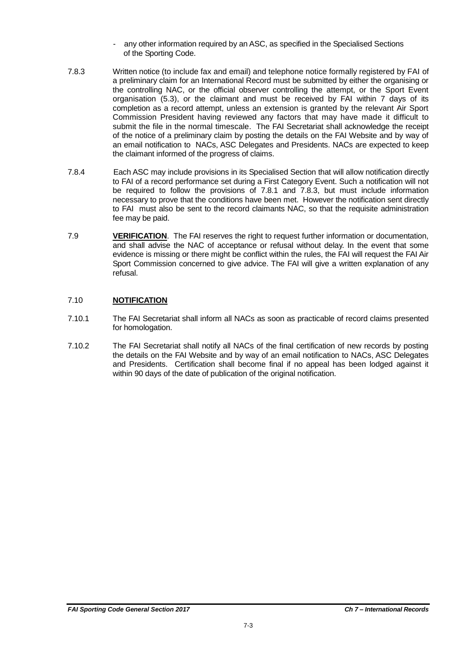- any other information required by an ASC, as specified in the Specialised Sections of the Sporting Code.
- 7.8.3 Written notice (to include fax and email) and telephone notice formally registered by FAI of a preliminary claim for an International Record must be submitted by either the organising or the controlling NAC, or the official observer controlling the attempt, or the Sport Event organisation (5.3), or the claimant and must be received by FAI within 7 days of its completion as a record attempt, unless an extension is granted by the relevant Air Sport Commission President having reviewed any factors that may have made it difficult to submit the file in the normal timescale. The FAI Secretariat shall acknowledge the receipt of the notice of a preliminary claim by posting the details on the FAI Website and by way of an email notification to NACs, ASC Delegates and Presidents. NACs are expected to keep the claimant informed of the progress of claims.
- 7.8.4 Each ASC may include provisions in its Specialised Section that will allow notification directly to FAI of a record performance set during a First Category Event. Such a notification will not be required to follow the provisions of 7.8.1 and 7.8.3, but must include information necessary to prove that the conditions have been met. However the notification sent directly to FAI must also be sent to the record claimants NAC, so that the requisite administration fee may be paid.
- 7.9 **VERIFICATION**. The FAI reserves the right to request further information or documentation, and shall advise the NAC of acceptance or refusal without delay. In the event that some evidence is missing or there might be conflict within the rules, the FAI will request the FAI Air Sport Commission concerned to give advice. The FAI will give a written explanation of any refusal.

#### 7.10 **NOTIFICATION**

- 7.10.1 The FAI Secretariat shall inform all NACs as soon as practicable of record claims presented for homologation.
- 7.10.2 The FAI Secretariat shall notify all NACs of the final certification of new records by posting the details on the FAI Website and by way of an email notification to NACs, ASC Delegates and Presidents. Certification shall become final if no appeal has been lodged against it within 90 days of the date of publication of the original notification.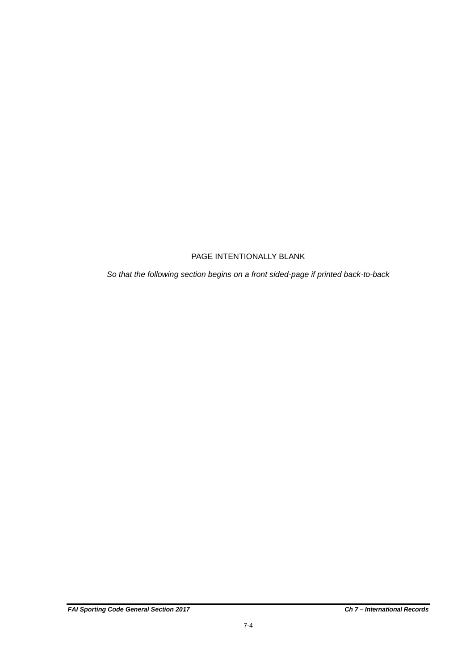### PAGE INTENTIONALLY BLANK

*So that the following section begins on a front sided-page if printed back-to-back*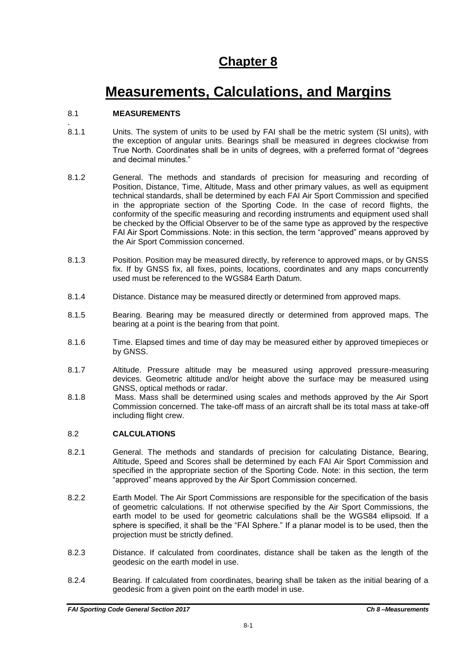## **Chapter 8**

# **Measurements, Calculations, and Margins**

#### 8.1 **MEASUREMENTS**

- . 8.1.1 Units. The system of units to be used by FAI shall be the metric system (SI units), with the exception of angular units. Bearings shall be measured in degrees clockwise from True North. Coordinates shall be in units of degrees, with a preferred format of "degrees and decimal minutes."
- 8.1.2 General. The methods and standards of precision for measuring and recording of Position, Distance, Time, Altitude, Mass and other primary values, as well as equipment technical standards, shall be determined by each FAI Air Sport Commission and specified in the appropriate section of the Sporting Code. In the case of record flights, the conformity of the specific measuring and recording instruments and equipment used shall be checked by the Official Observer to be of the same type as approved by the respective FAI Air Sport Commissions. Note: in this section, the term "approved" means approved by the Air Sport Commission concerned.
- 8.1.3 Position. Position may be measured directly, by reference to approved maps, or by GNSS fix. If by GNSS fix, all fixes, points, locations, coordinates and any maps concurrently used must be referenced to the WGS84 Earth Datum.
- 8.1.4 Distance. Distance may be measured directly or determined from approved maps.
- 8.1.5 Bearing. Bearing may be measured directly or determined from approved maps. The bearing at a point is the bearing from that point.
- 8.1.6 Time. Elapsed times and time of day may be measured either by approved timepieces or by GNSS.
- 8.1.7 Altitude. Pressure altitude may be measured using approved pressure-measuring devices. Geometric altitude and/or height above the surface may be measured using GNSS, optical methods or radar.
- 8.1.8 Mass. Mass shall be determined using scales and methods approved by the Air Sport Commission concerned. The take-off mass of an aircraft shall be its total mass at take-off including flight crew.

#### 8.2 **CALCULATIONS**

- 8.2.1 General. The methods and standards of precision for calculating Distance, Bearing, Altitude, Speed and Scores shall be determined by each FAI Air Sport Commission and specified in the appropriate section of the Sporting Code. Note: in this section, the term "approved" means approved by the Air Sport Commission concerned.
- 8.2.2 Earth Model. The Air Sport Commissions are responsible for the specification of the basis of geometric calculations. If not otherwise specified by the Air Sport Commissions, the earth model to be used for geometric calculations shall be the WGS84 ellipsoid. If a sphere is specified, it shall be the "FAI Sphere." If a planar model is to be used, then the projection must be strictly defined.
- 8.2.3 Distance. If calculated from coordinates, distance shall be taken as the length of the geodesic on the earth model in use.
- 8.2.4 Bearing. If calculated from coordinates, bearing shall be taken as the initial bearing of a geodesic from a given point on the earth model in use.